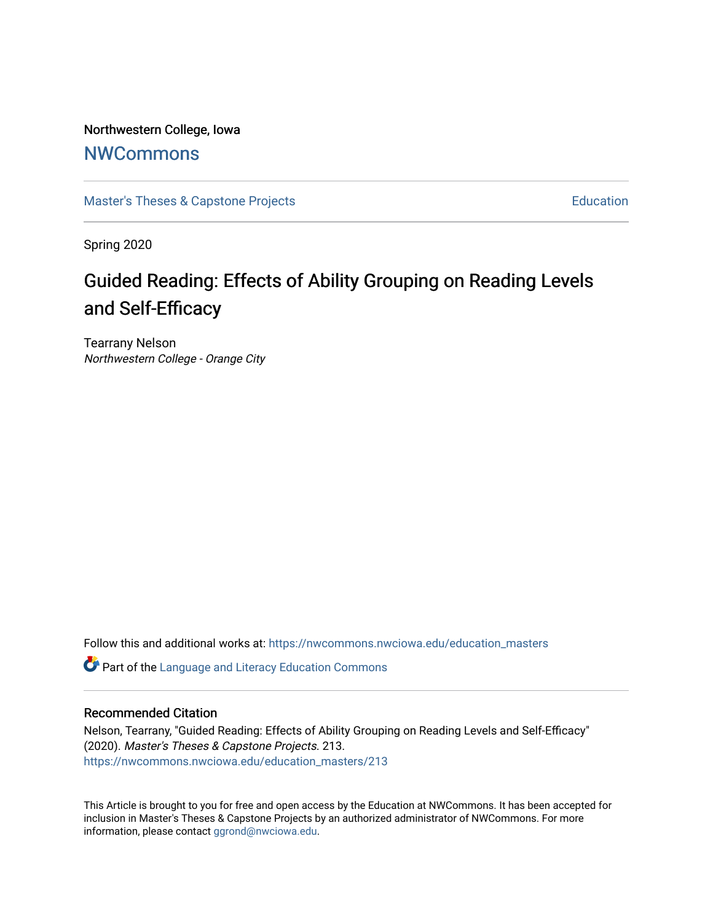Northwestern College, Iowa

# **[NWCommons](https://nwcommons.nwciowa.edu/)**

[Master's Theses & Capstone Projects](https://nwcommons.nwciowa.edu/education_masters) **Education** Education

Spring 2020

# Guided Reading: Effects of Ability Grouping on Reading Levels and Self-Efficacy

Tearrany Nelson Northwestern College - Orange City

Follow this and additional works at: [https://nwcommons.nwciowa.edu/education\\_masters](https://nwcommons.nwciowa.edu/education_masters?utm_source=nwcommons.nwciowa.edu%2Feducation_masters%2F213&utm_medium=PDF&utm_campaign=PDFCoverPages)

**C** Part of the Language and Literacy Education Commons

# Recommended Citation

Nelson, Tearrany, "Guided Reading: Effects of Ability Grouping on Reading Levels and Self-Efficacy" (2020). Master's Theses & Capstone Projects. 213. [https://nwcommons.nwciowa.edu/education\\_masters/213](https://nwcommons.nwciowa.edu/education_masters/213?utm_source=nwcommons.nwciowa.edu%2Feducation_masters%2F213&utm_medium=PDF&utm_campaign=PDFCoverPages)

This Article is brought to you for free and open access by the Education at NWCommons. It has been accepted for inclusion in Master's Theses & Capstone Projects by an authorized administrator of NWCommons. For more information, please contact [ggrond@nwciowa.edu](mailto:ggrond@nwciowa.edu).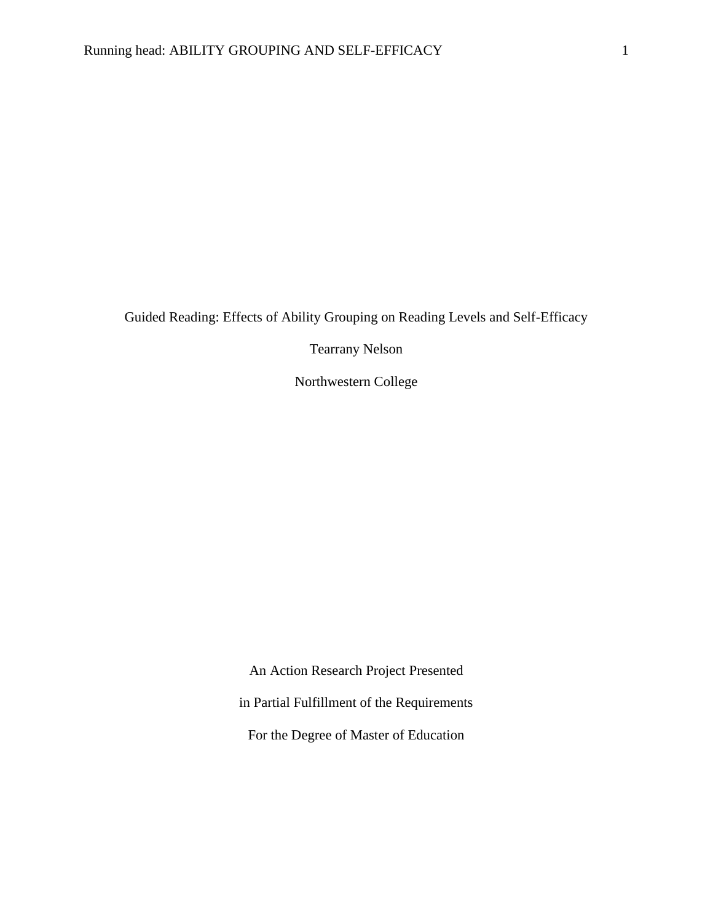Guided Reading: Effects of Ability Grouping on Reading Levels and Self-Efficacy

Tearrany Nelson

Northwestern College

An Action Research Project Presented in Partial Fulfillment of the Requirements For the Degree of Master of Education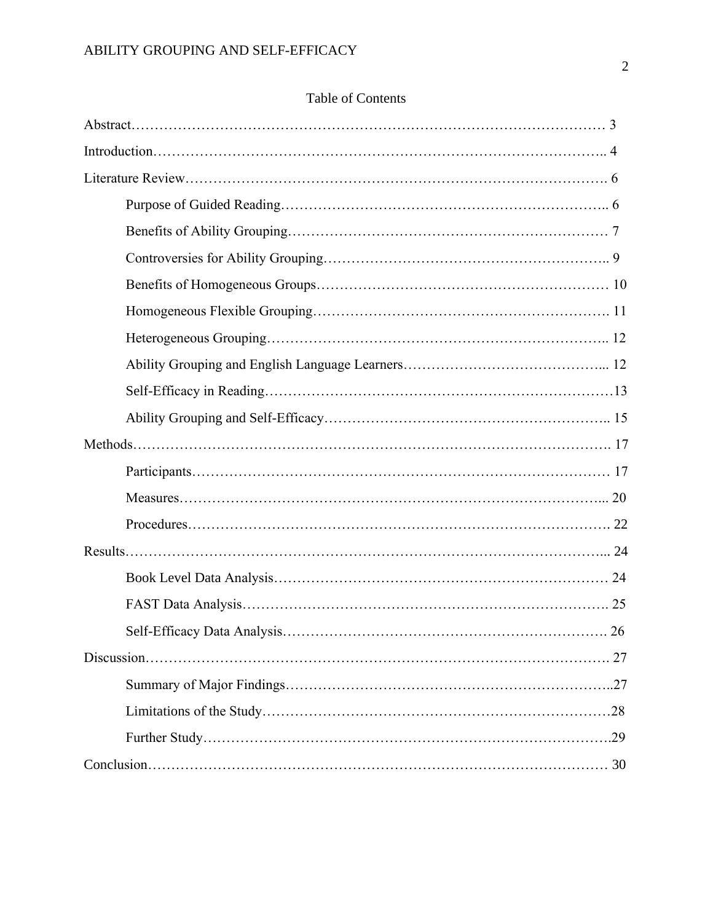# Table of Contents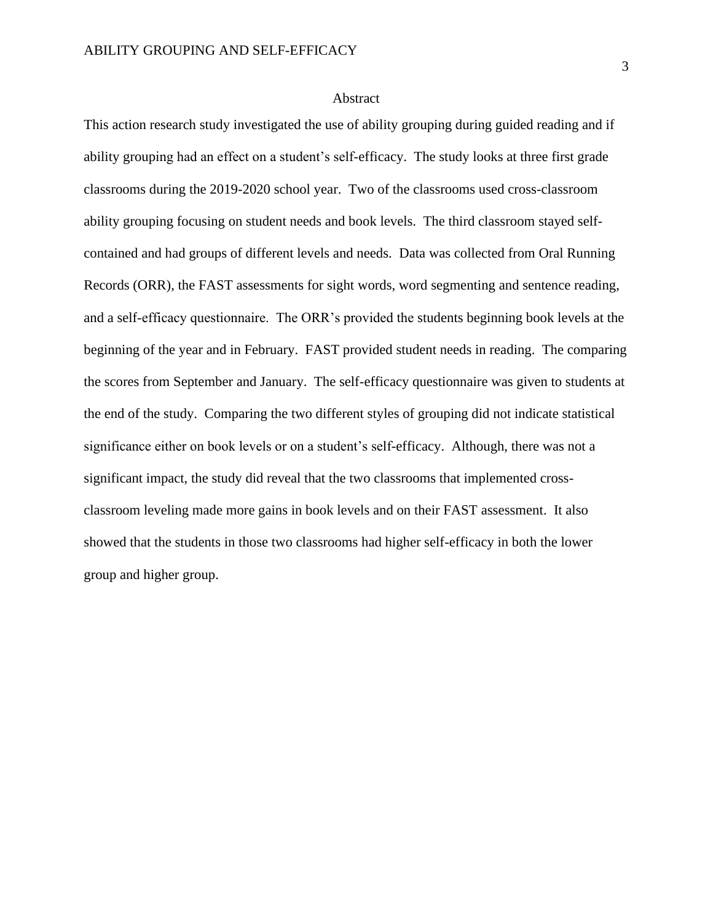#### Abstract

This action research study investigated the use of ability grouping during guided reading and if ability grouping had an effect on a student's self-efficacy. The study looks at three first grade classrooms during the 2019-2020 school year. Two of the classrooms used cross-classroom ability grouping focusing on student needs and book levels. The third classroom stayed selfcontained and had groups of different levels and needs. Data was collected from Oral Running Records (ORR), the FAST assessments for sight words, word segmenting and sentence reading, and a self-efficacy questionnaire. The ORR's provided the students beginning book levels at the beginning of the year and in February. FAST provided student needs in reading. The comparing the scores from September and January. The self-efficacy questionnaire was given to students at the end of the study. Comparing the two different styles of grouping did not indicate statistical significance either on book levels or on a student's self-efficacy. Although, there was not a significant impact, the study did reveal that the two classrooms that implemented crossclassroom leveling made more gains in book levels and on their FAST assessment. It also showed that the students in those two classrooms had higher self-efficacy in both the lower group and higher group.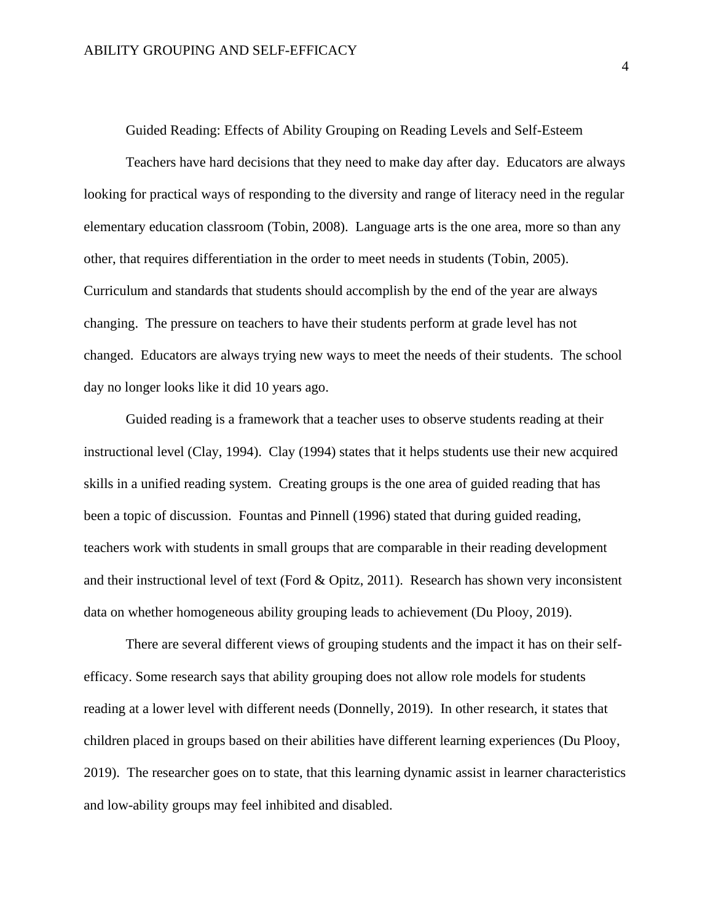Guided Reading: Effects of Ability Grouping on Reading Levels and Self-Esteem

Teachers have hard decisions that they need to make day after day. Educators are always looking for practical ways of responding to the diversity and range of literacy need in the regular elementary education classroom (Tobin, 2008). Language arts is the one area, more so than any other, that requires differentiation in the order to meet needs in students (Tobin, 2005). Curriculum and standards that students should accomplish by the end of the year are always changing. The pressure on teachers to have their students perform at grade level has not changed. Educators are always trying new ways to meet the needs of their students. The school day no longer looks like it did 10 years ago.

Guided reading is a framework that a teacher uses to observe students reading at their instructional level (Clay, 1994). Clay (1994) states that it helps students use their new acquired skills in a unified reading system. Creating groups is the one area of guided reading that has been a topic of discussion. Fountas and Pinnell (1996) stated that during guided reading, teachers work with students in small groups that are comparable in their reading development and their instructional level of text (Ford & Opitz, 2011). Research has shown very inconsistent data on whether homogeneous ability grouping leads to achievement (Du Plooy, 2019).

There are several different views of grouping students and the impact it has on their selfefficacy. Some research says that ability grouping does not allow role models for students reading at a lower level with different needs (Donnelly, 2019). In other research, it states that children placed in groups based on their abilities have different learning experiences (Du Plooy, 2019). The researcher goes on to state, that this learning dynamic assist in learner characteristics and low-ability groups may feel inhibited and disabled.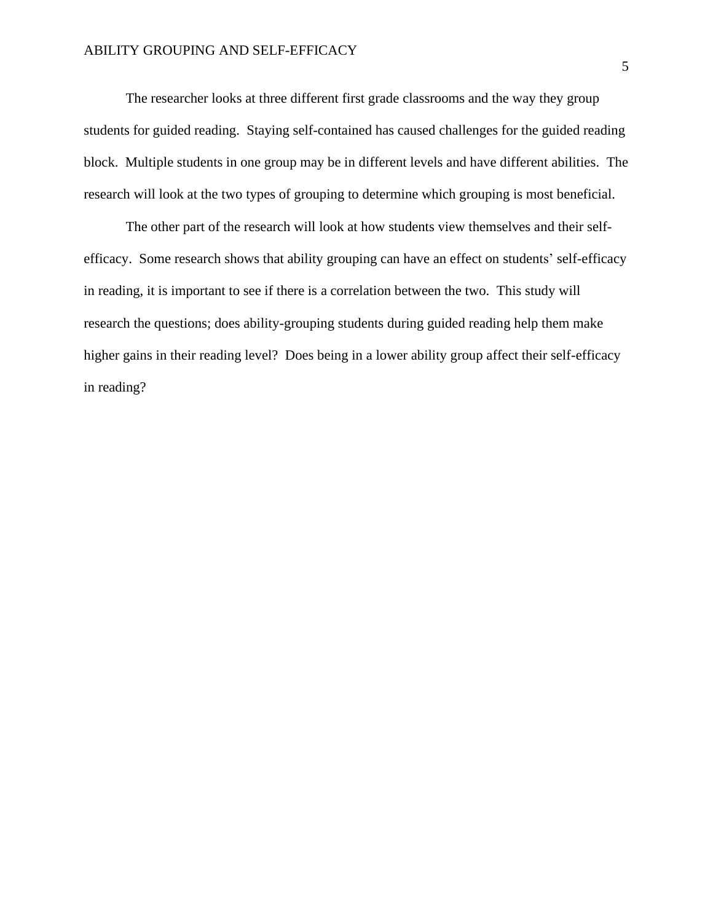The researcher looks at three different first grade classrooms and the way they group students for guided reading. Staying self-contained has caused challenges for the guided reading block. Multiple students in one group may be in different levels and have different abilities. The research will look at the two types of grouping to determine which grouping is most beneficial.

The other part of the research will look at how students view themselves and their selfefficacy. Some research shows that ability grouping can have an effect on students' self-efficacy in reading, it is important to see if there is a correlation between the two. This study will research the questions; does ability-grouping students during guided reading help them make higher gains in their reading level? Does being in a lower ability group affect their self-efficacy in reading?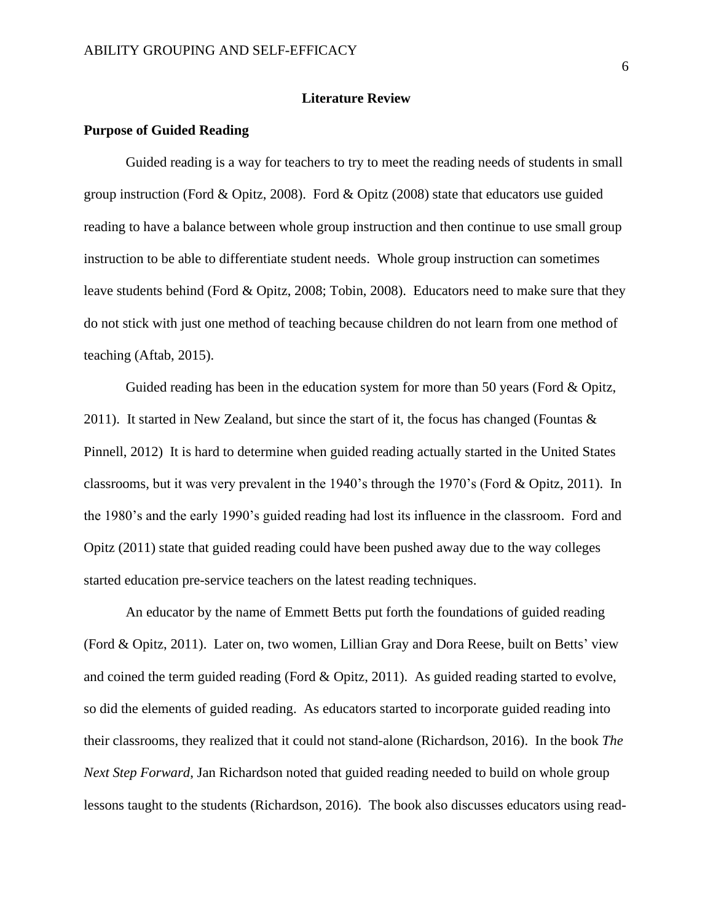#### **Literature Review**

### **Purpose of Guided Reading**

Guided reading is a way for teachers to try to meet the reading needs of students in small group instruction (Ford & Opitz, 2008). Ford & Opitz (2008) state that educators use guided reading to have a balance between whole group instruction and then continue to use small group instruction to be able to differentiate student needs. Whole group instruction can sometimes leave students behind (Ford & Opitz, 2008; Tobin, 2008). Educators need to make sure that they do not stick with just one method of teaching because children do not learn from one method of teaching (Aftab, 2015).

Guided reading has been in the education system for more than 50 years (Ford & Opitz, 2011). It started in New Zealand, but since the start of it, the focus has changed (Fountas  $\&$ Pinnell, 2012) It is hard to determine when guided reading actually started in the United States classrooms, but it was very prevalent in the 1940's through the 1970's (Ford & Opitz, 2011). In the 1980's and the early 1990's guided reading had lost its influence in the classroom. Ford and Opitz (2011) state that guided reading could have been pushed away due to the way colleges started education pre-service teachers on the latest reading techniques.

An educator by the name of Emmett Betts put forth the foundations of guided reading (Ford & Opitz, 2011). Later on, two women, Lillian Gray and Dora Reese, built on Betts' view and coined the term guided reading (Ford & Opitz, 2011). As guided reading started to evolve, so did the elements of guided reading. As educators started to incorporate guided reading into their classrooms, they realized that it could not stand-alone (Richardson, 2016). In the book *The Next Step Forward*, Jan Richardson noted that guided reading needed to build on whole group lessons taught to the students (Richardson, 2016). The book also discusses educators using read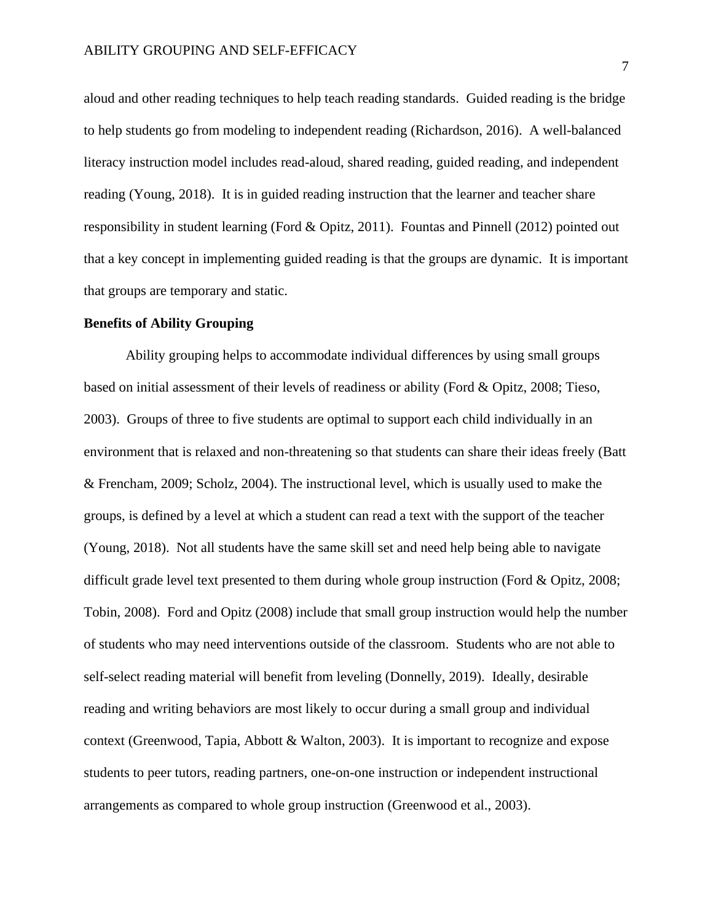aloud and other reading techniques to help teach reading standards. Guided reading is the bridge to help students go from modeling to independent reading (Richardson, 2016). A well-balanced literacy instruction model includes read-aloud, shared reading, guided reading, and independent reading (Young, 2018). It is in guided reading instruction that the learner and teacher share responsibility in student learning (Ford & Opitz, 2011). Fountas and Pinnell (2012) pointed out that a key concept in implementing guided reading is that the groups are dynamic. It is important that groups are temporary and static.

#### **Benefits of Ability Grouping**

Ability grouping helps to accommodate individual differences by using small groups based on initial assessment of their levels of readiness or ability (Ford & Opitz, 2008; Tieso, 2003). Groups of three to five students are optimal to support each child individually in an environment that is relaxed and non-threatening so that students can share their ideas freely (Batt & Frencham, 2009; Scholz, 2004). The instructional level, which is usually used to make the groups, is defined by a level at which a student can read a text with the support of the teacher (Young, 2018). Not all students have the same skill set and need help being able to navigate difficult grade level text presented to them during whole group instruction (Ford & Opitz, 2008; Tobin, 2008). Ford and Opitz (2008) include that small group instruction would help the number of students who may need interventions outside of the classroom. Students who are not able to self-select reading material will benefit from leveling (Donnelly, 2019). Ideally, desirable reading and writing behaviors are most likely to occur during a small group and individual context (Greenwood, Tapia, Abbott & Walton, 2003). It is important to recognize and expose students to peer tutors, reading partners, one-on-one instruction or independent instructional arrangements as compared to whole group instruction (Greenwood et al., 2003).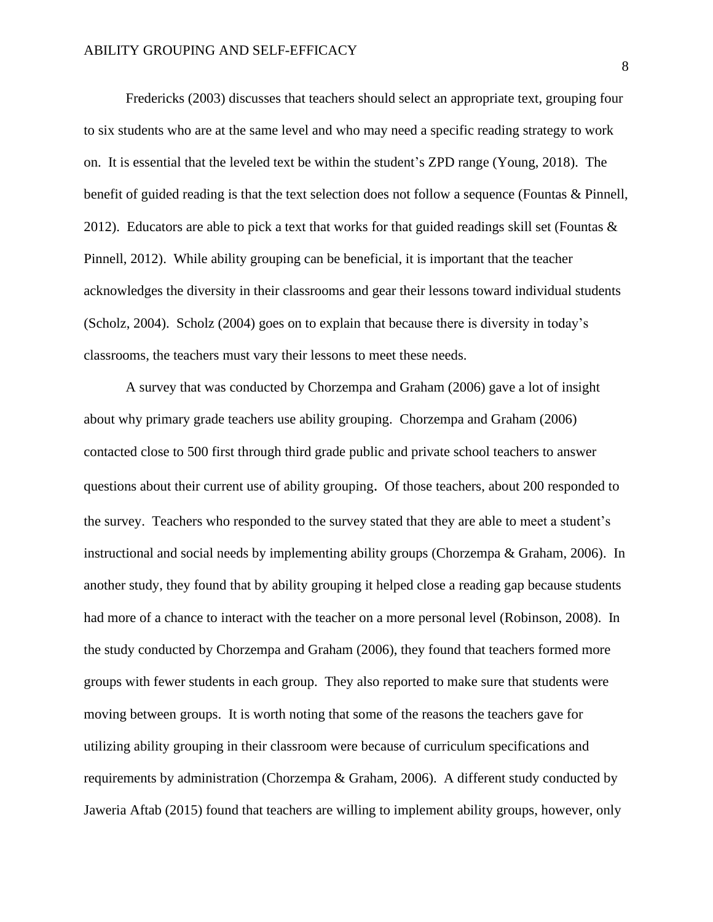Fredericks (2003) discusses that teachers should select an appropriate text, grouping four to six students who are at the same level and who may need a specific reading strategy to work on. It is essential that the leveled text be within the student's ZPD range (Young, 2018). The benefit of guided reading is that the text selection does not follow a sequence (Fountas & Pinnell, 2012). Educators are able to pick a text that works for that guided readings skill set (Fountas  $\&$ Pinnell, 2012). While ability grouping can be beneficial, it is important that the teacher acknowledges the diversity in their classrooms and gear their lessons toward individual students (Scholz, 2004). Scholz (2004) goes on to explain that because there is diversity in today's classrooms, the teachers must vary their lessons to meet these needs.

A survey that was conducted by Chorzempa and Graham (2006) gave a lot of insight about why primary grade teachers use ability grouping. Chorzempa and Graham (2006) contacted close to 500 first through third grade public and private school teachers to answer questions about their current use of ability grouping. Of those teachers, about 200 responded to the survey. Teachers who responded to the survey stated that they are able to meet a student's instructional and social needs by implementing ability groups (Chorzempa & Graham, 2006). In another study, they found that by ability grouping it helped close a reading gap because students had more of a chance to interact with the teacher on a more personal level (Robinson, 2008). In the study conducted by Chorzempa and Graham (2006), they found that teachers formed more groups with fewer students in each group. They also reported to make sure that students were moving between groups. It is worth noting that some of the reasons the teachers gave for utilizing ability grouping in their classroom were because of curriculum specifications and requirements by administration (Chorzempa & Graham, 2006). A different study conducted by Jaweria Aftab (2015) found that teachers are willing to implement ability groups, however, only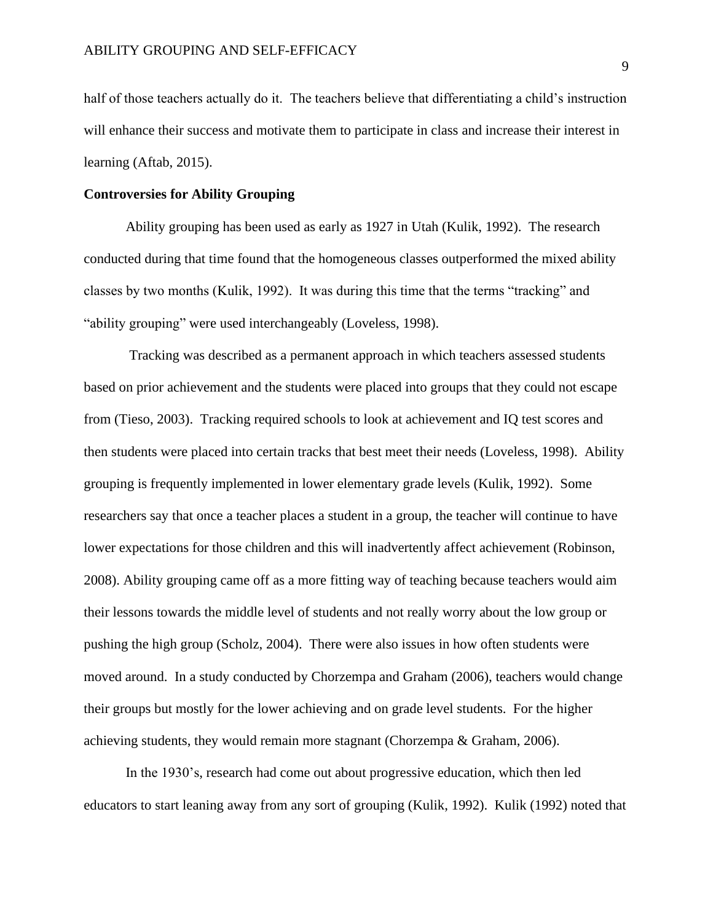half of those teachers actually do it. The teachers believe that differentiating a child's instruction will enhance their success and motivate them to participate in class and increase their interest in learning (Aftab, 2015).

#### **Controversies for Ability Grouping**

Ability grouping has been used as early as 1927 in Utah (Kulik, 1992). The research conducted during that time found that the homogeneous classes outperformed the mixed ability classes by two months (Kulik, 1992). It was during this time that the terms "tracking" and "ability grouping" were used interchangeably (Loveless, 1998).

Tracking was described as a permanent approach in which teachers assessed students based on prior achievement and the students were placed into groups that they could not escape from (Tieso, 2003). Tracking required schools to look at achievement and IQ test scores and then students were placed into certain tracks that best meet their needs (Loveless, 1998). Ability grouping is frequently implemented in lower elementary grade levels (Kulik, 1992). Some researchers say that once a teacher places a student in a group, the teacher will continue to have lower expectations for those children and this will inadvertently affect achievement (Robinson, 2008). Ability grouping came off as a more fitting way of teaching because teachers would aim their lessons towards the middle level of students and not really worry about the low group or pushing the high group (Scholz, 2004). There were also issues in how often students were moved around. In a study conducted by Chorzempa and Graham (2006), teachers would change their groups but mostly for the lower achieving and on grade level students. For the higher achieving students, they would remain more stagnant (Chorzempa  $\&$  Graham, 2006).

In the 1930's, research had come out about progressive education, which then led educators to start leaning away from any sort of grouping (Kulik, 1992). Kulik (1992) noted that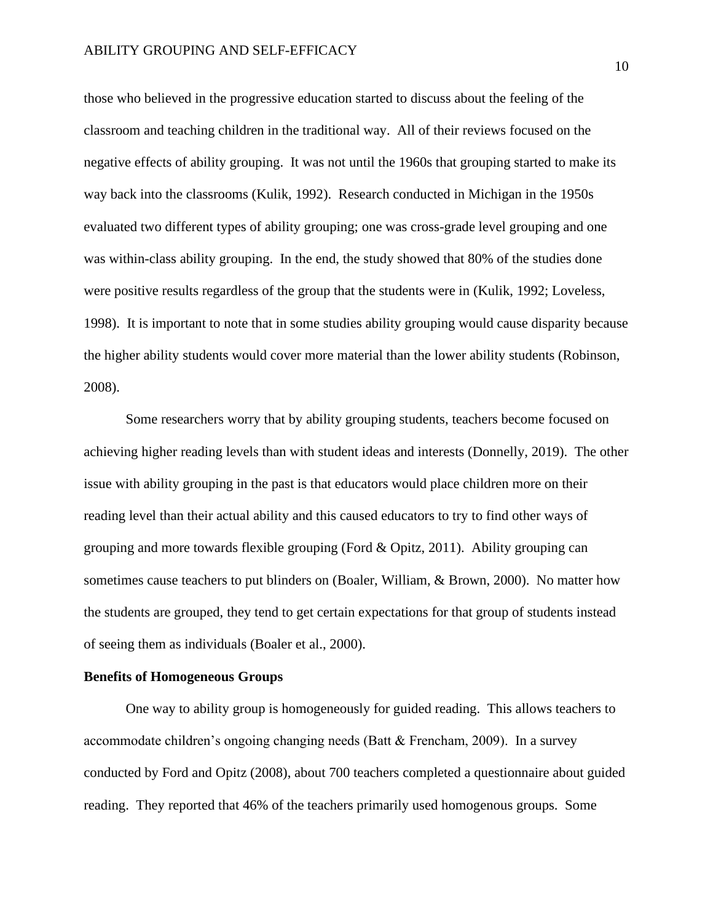those who believed in the progressive education started to discuss about the feeling of the classroom and teaching children in the traditional way. All of their reviews focused on the negative effects of ability grouping. It was not until the 1960s that grouping started to make its way back into the classrooms (Kulik, 1992). Research conducted in Michigan in the 1950s evaluated two different types of ability grouping; one was cross-grade level grouping and one was within-class ability grouping. In the end, the study showed that 80% of the studies done were positive results regardless of the group that the students were in (Kulik, 1992; Loveless, 1998). It is important to note that in some studies ability grouping would cause disparity because the higher ability students would cover more material than the lower ability students (Robinson, 2008).

Some researchers worry that by ability grouping students, teachers become focused on achieving higher reading levels than with student ideas and interests (Donnelly, 2019). The other issue with ability grouping in the past is that educators would place children more on their reading level than their actual ability and this caused educators to try to find other ways of grouping and more towards flexible grouping (Ford  $\&$  Opitz, 2011). Ability grouping can sometimes cause teachers to put blinders on (Boaler, William, & Brown, 2000). No matter how the students are grouped, they tend to get certain expectations for that group of students instead of seeing them as individuals (Boaler et al., 2000).

#### **Benefits of Homogeneous Groups**

One way to ability group is homogeneously for guided reading. This allows teachers to accommodate children's ongoing changing needs (Batt & Frencham, 2009). In a survey conducted by Ford and Opitz (2008), about 700 teachers completed a questionnaire about guided reading. They reported that 46% of the teachers primarily used homogenous groups. Some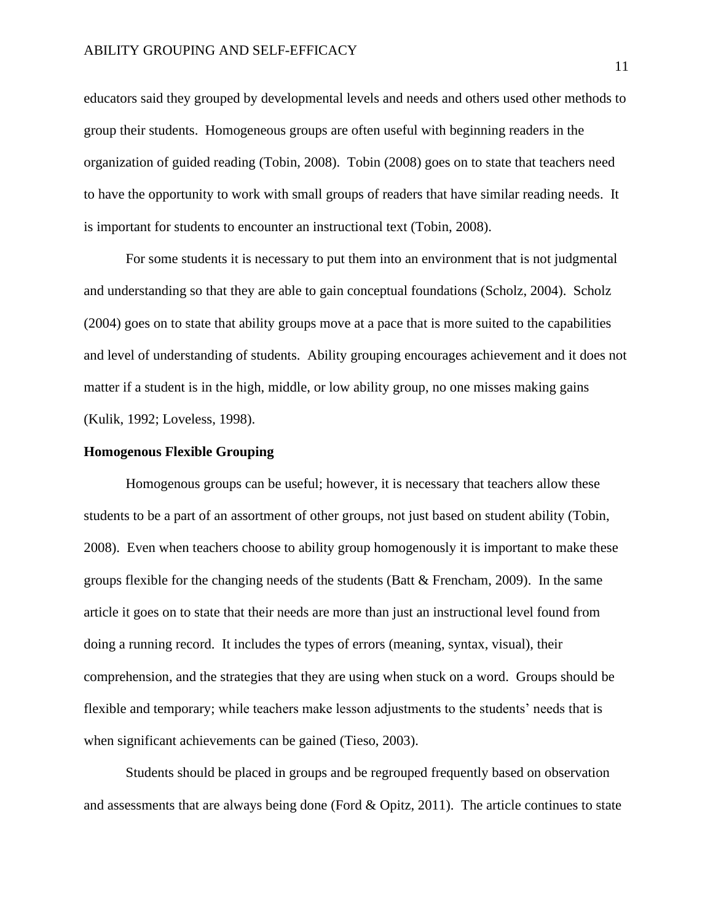educators said they grouped by developmental levels and needs and others used other methods to group their students. Homogeneous groups are often useful with beginning readers in the organization of guided reading (Tobin, 2008). Tobin (2008) goes on to state that teachers need to have the opportunity to work with small groups of readers that have similar reading needs. It is important for students to encounter an instructional text (Tobin, 2008).

For some students it is necessary to put them into an environment that is not judgmental and understanding so that they are able to gain conceptual foundations (Scholz, 2004). Scholz (2004) goes on to state that ability groups move at a pace that is more suited to the capabilities and level of understanding of students. Ability grouping encourages achievement and it does not matter if a student is in the high, middle, or low ability group, no one misses making gains (Kulik, 1992; Loveless, 1998).

#### **Homogenous Flexible Grouping**

Homogenous groups can be useful; however, it is necessary that teachers allow these students to be a part of an assortment of other groups, not just based on student ability (Tobin, 2008). Even when teachers choose to ability group homogenously it is important to make these groups flexible for the changing needs of the students (Batt & Frencham, 2009). In the same article it goes on to state that their needs are more than just an instructional level found from doing a running record. It includes the types of errors (meaning, syntax, visual), their comprehension, and the strategies that they are using when stuck on a word. Groups should be flexible and temporary; while teachers make lesson adjustments to the students' needs that is when significant achievements can be gained (Tieso, 2003).

Students should be placed in groups and be regrouped frequently based on observation and assessments that are always being done (Ford  $\&$  Opitz, 2011). The article continues to state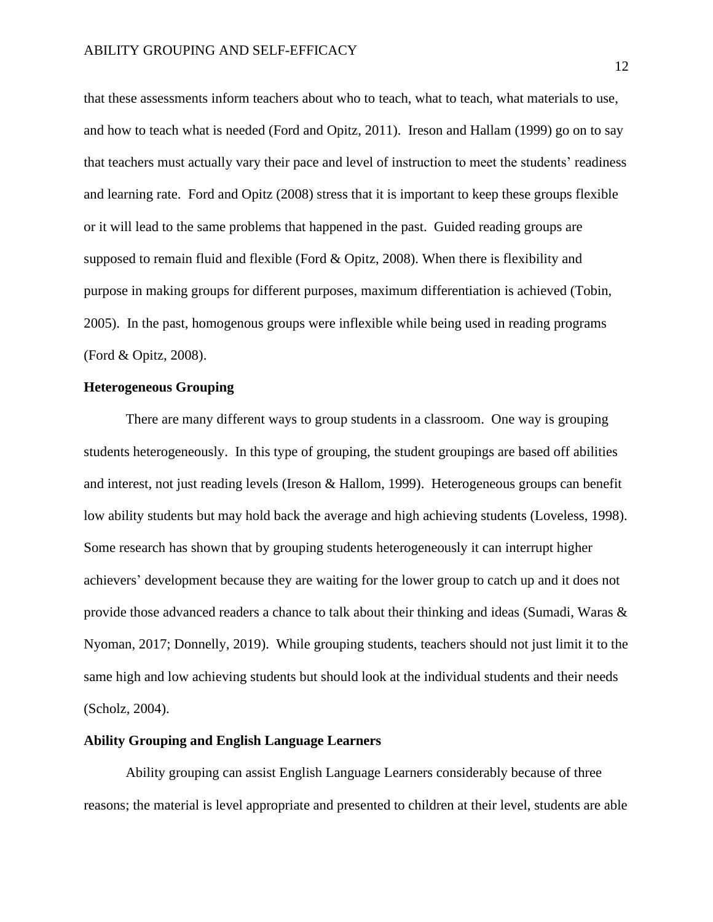that these assessments inform teachers about who to teach, what to teach, what materials to use, and how to teach what is needed (Ford and Opitz, 2011). Ireson and Hallam (1999) go on to say that teachers must actually vary their pace and level of instruction to meet the students' readiness and learning rate. Ford and Opitz (2008) stress that it is important to keep these groups flexible or it will lead to the same problems that happened in the past. Guided reading groups are supposed to remain fluid and flexible (Ford & Opitz, 2008). When there is flexibility and purpose in making groups for different purposes, maximum differentiation is achieved (Tobin, 2005). In the past, homogenous groups were inflexible while being used in reading programs (Ford & Opitz, 2008).

### **Heterogeneous Grouping**

There are many different ways to group students in a classroom. One way is grouping students heterogeneously. In this type of grouping, the student groupings are based off abilities and interest, not just reading levels (Ireson & Hallom, 1999). Heterogeneous groups can benefit low ability students but may hold back the average and high achieving students (Loveless, 1998). Some research has shown that by grouping students heterogeneously it can interrupt higher achievers' development because they are waiting for the lower group to catch up and it does not provide those advanced readers a chance to talk about their thinking and ideas (Sumadi, Waras & Nyoman, 2017; Donnelly, 2019). While grouping students, teachers should not just limit it to the same high and low achieving students but should look at the individual students and their needs (Scholz, 2004).

# **Ability Grouping and English Language Learners**

Ability grouping can assist English Language Learners considerably because of three reasons; the material is level appropriate and presented to children at their level, students are able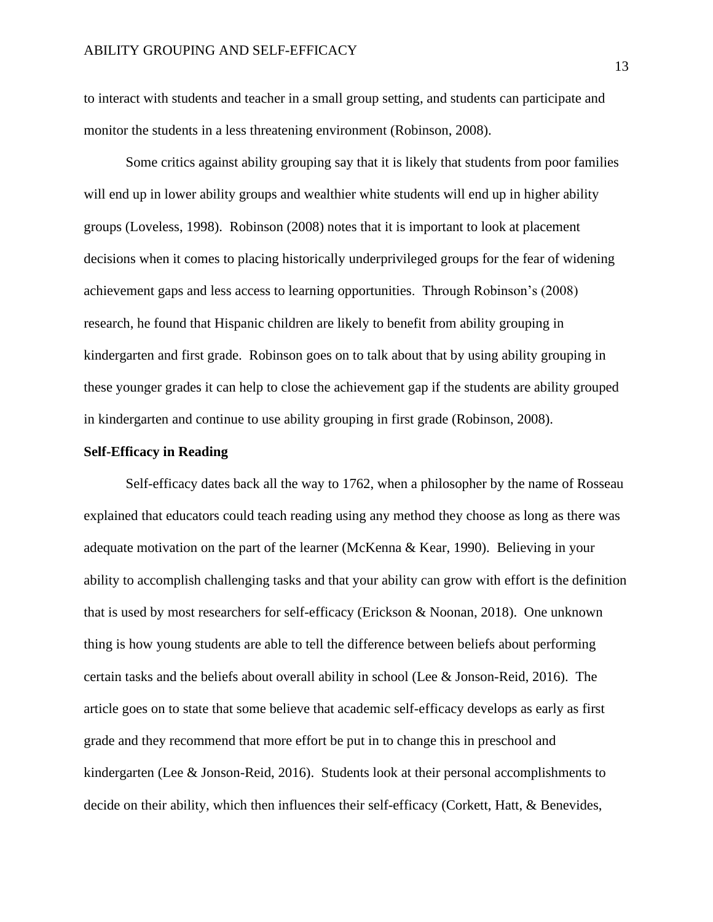to interact with students and teacher in a small group setting, and students can participate and monitor the students in a less threatening environment (Robinson, 2008).

Some critics against ability grouping say that it is likely that students from poor families will end up in lower ability groups and wealthier white students will end up in higher ability groups (Loveless, 1998). Robinson (2008) notes that it is important to look at placement decisions when it comes to placing historically underprivileged groups for the fear of widening achievement gaps and less access to learning opportunities. Through Robinson's (2008) research, he found that Hispanic children are likely to benefit from ability grouping in kindergarten and first grade. Robinson goes on to talk about that by using ability grouping in these younger grades it can help to close the achievement gap if the students are ability grouped in kindergarten and continue to use ability grouping in first grade (Robinson, 2008).

#### **Self-Efficacy in Reading**

Self-efficacy dates back all the way to 1762, when a philosopher by the name of Rosseau explained that educators could teach reading using any method they choose as long as there was adequate motivation on the part of the learner (McKenna & Kear, 1990). Believing in your ability to accomplish challenging tasks and that your ability can grow with effort is the definition that is used by most researchers for self-efficacy (Erickson & Noonan, 2018). One unknown thing is how young students are able to tell the difference between beliefs about performing certain tasks and the beliefs about overall ability in school (Lee & Jonson-Reid, 2016). The article goes on to state that some believe that academic self-efficacy develops as early as first grade and they recommend that more effort be put in to change this in preschool and kindergarten (Lee & Jonson-Reid, 2016). Students look at their personal accomplishments to decide on their ability, which then influences their self-efficacy (Corkett, Hatt, & Benevides,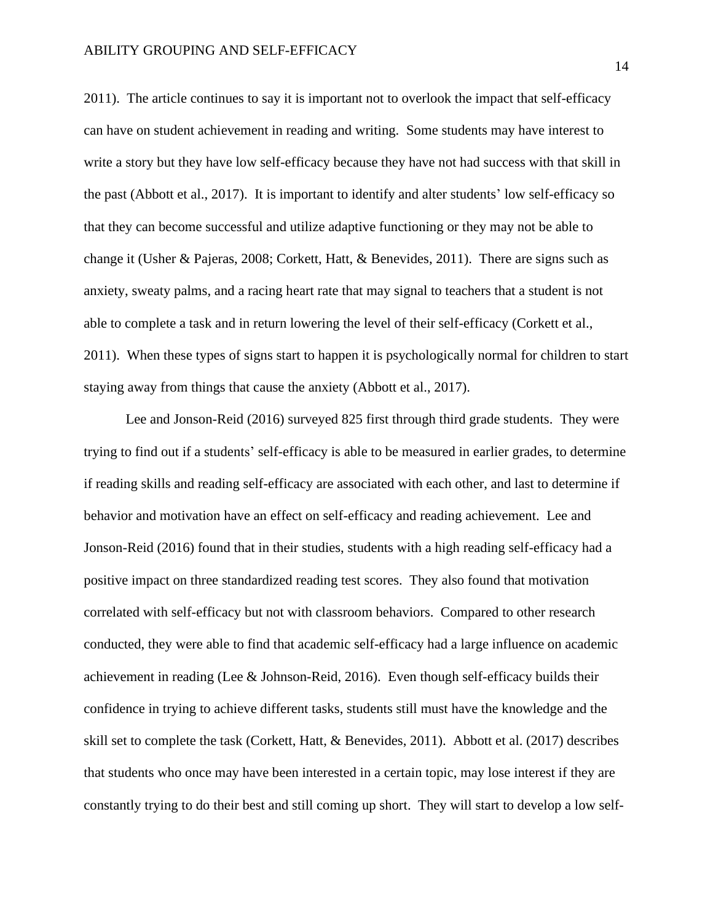2011). The article continues to say it is important not to overlook the impact that self-efficacy can have on student achievement in reading and writing. Some students may have interest to write a story but they have low self-efficacy because they have not had success with that skill in the past (Abbott et al., 2017). It is important to identify and alter students' low self-efficacy so that they can become successful and utilize adaptive functioning or they may not be able to change it (Usher & Pajeras, 2008; Corkett, Hatt, & Benevides, 2011). There are signs such as anxiety, sweaty palms, and a racing heart rate that may signal to teachers that a student is not able to complete a task and in return lowering the level of their self-efficacy (Corkett et al., 2011). When these types of signs start to happen it is psychologically normal for children to start staying away from things that cause the anxiety (Abbott et al., 2017).

Lee and Jonson-Reid (2016) surveyed 825 first through third grade students. They were trying to find out if a students' self-efficacy is able to be measured in earlier grades, to determine if reading skills and reading self-efficacy are associated with each other, and last to determine if behavior and motivation have an effect on self-efficacy and reading achievement. Lee and Jonson-Reid (2016) found that in their studies, students with a high reading self-efficacy had a positive impact on three standardized reading test scores. They also found that motivation correlated with self-efficacy but not with classroom behaviors. Compared to other research conducted, they were able to find that academic self-efficacy had a large influence on academic achievement in reading (Lee & Johnson-Reid, 2016). Even though self-efficacy builds their confidence in trying to achieve different tasks, students still must have the knowledge and the skill set to complete the task (Corkett, Hatt, & Benevides, 2011). Abbott et al. (2017) describes that students who once may have been interested in a certain topic, may lose interest if they are constantly trying to do their best and still coming up short. They will start to develop a low self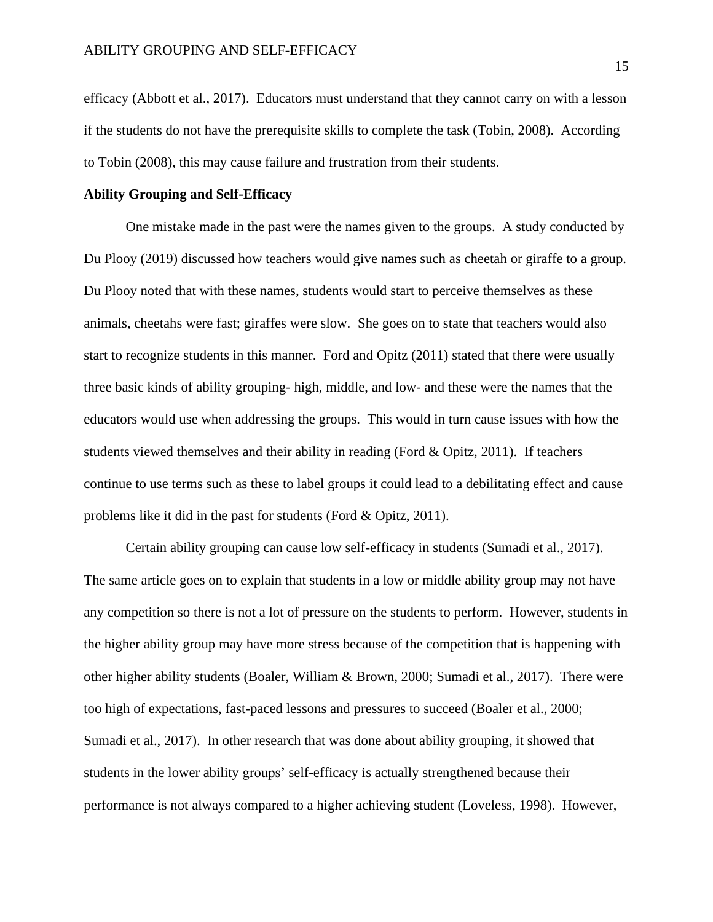efficacy (Abbott et al., 2017). Educators must understand that they cannot carry on with a lesson if the students do not have the prerequisite skills to complete the task (Tobin, 2008). According to Tobin (2008), this may cause failure and frustration from their students.

### **Ability Grouping and Self-Efficacy**

One mistake made in the past were the names given to the groups. A study conducted by Du Plooy (2019) discussed how teachers would give names such as cheetah or giraffe to a group. Du Plooy noted that with these names, students would start to perceive themselves as these animals, cheetahs were fast; giraffes were slow. She goes on to state that teachers would also start to recognize students in this manner. Ford and Opitz (2011) stated that there were usually three basic kinds of ability grouping- high, middle, and low- and these were the names that the educators would use when addressing the groups. This would in turn cause issues with how the students viewed themselves and their ability in reading (Ford & Opitz, 2011). If teachers continue to use terms such as these to label groups it could lead to a debilitating effect and cause problems like it did in the past for students (Ford & Opitz, 2011).

Certain ability grouping can cause low self-efficacy in students (Sumadi et al., 2017). The same article goes on to explain that students in a low or middle ability group may not have any competition so there is not a lot of pressure on the students to perform. However, students in the higher ability group may have more stress because of the competition that is happening with other higher ability students (Boaler, William & Brown, 2000; Sumadi et al., 2017). There were too high of expectations, fast-paced lessons and pressures to succeed (Boaler et al., 2000; Sumadi et al., 2017). In other research that was done about ability grouping, it showed that students in the lower ability groups' self-efficacy is actually strengthened because their performance is not always compared to a higher achieving student (Loveless, 1998). However,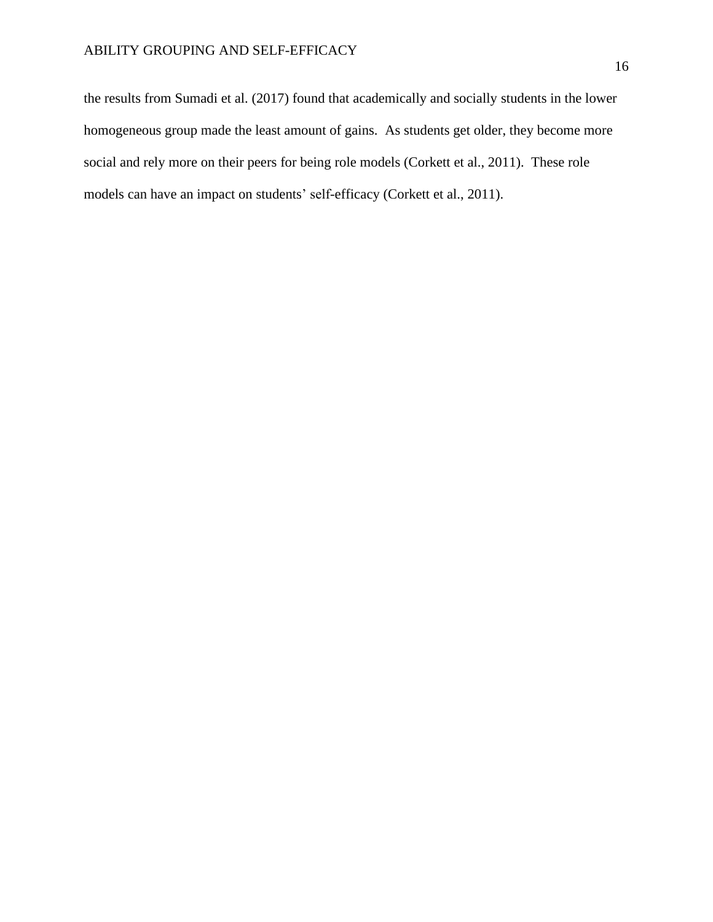the results from Sumadi et al. (2017) found that academically and socially students in the lower homogeneous group made the least amount of gains. As students get older, they become more social and rely more on their peers for being role models (Corkett et al., 2011). These role models can have an impact on students' self-efficacy (Corkett et al., 2011).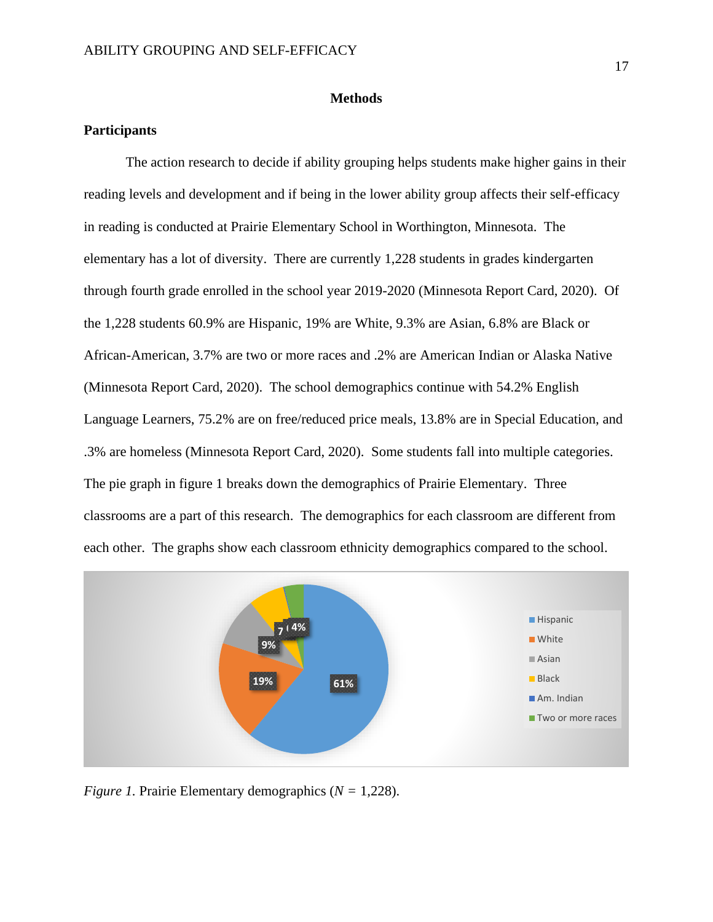#### **Methods**

# **Participants**

The action research to decide if ability grouping helps students make higher gains in their reading levels and development and if being in the lower ability group affects their self-efficacy in reading is conducted at Prairie Elementary School in Worthington, Minnesota. The elementary has a lot of diversity. There are currently 1,228 students in grades kindergarten through fourth grade enrolled in the school year 2019-2020 (Minnesota Report Card, 2020). Of the 1,228 students 60.9% are Hispanic, 19% are White, 9.3% are Asian, 6.8% are Black or African-American, 3.7% are two or more races and .2% are American Indian or Alaska Native (Minnesota Report Card, 2020). The school demographics continue with 54.2% English Language Learners, 75.2% are on free/reduced price meals, 13.8% are in Special Education, and .3% are homeless (Minnesota Report Card, 2020). Some students fall into multiple categories. The pie graph in figure 1 breaks down the demographics of Prairie Elementary. Three classrooms are a part of this research. The demographics for each classroom are different from each other. The graphs show each classroom ethnicity demographics compared to the school.



*Figure 1.* Prairie Elementary demographics  $(N = 1,228)$ .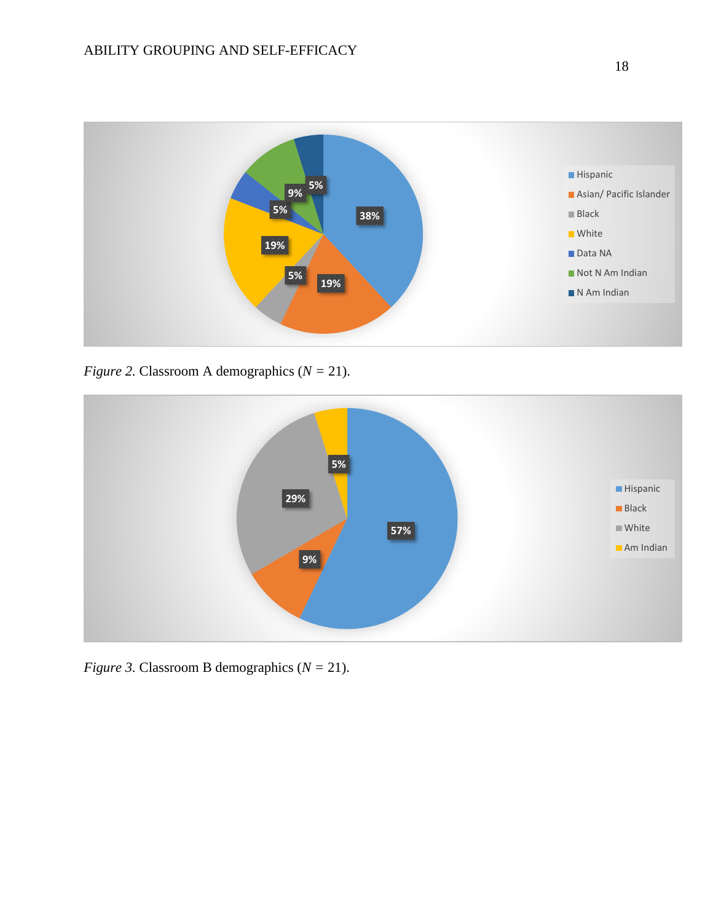

*Figure 2.* Classroom A demographics  $(N = 21)$ .



*Figure 3.* Classroom B demographics ( $N = 21$ ).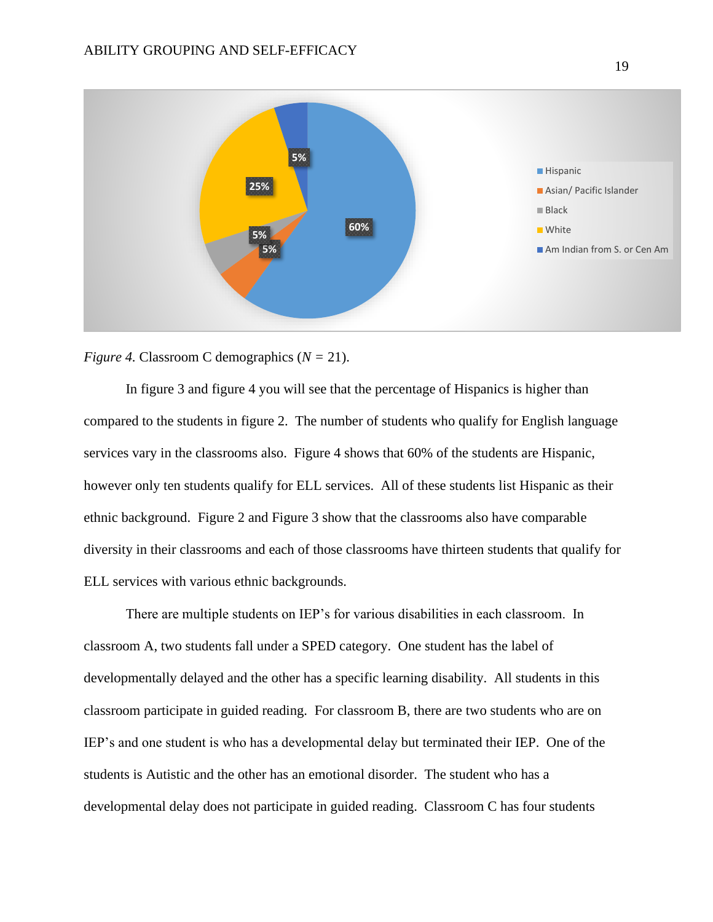

*Figure 4.* Classroom C demographics  $(N = 21)$ .

In figure 3 and figure 4 you will see that the percentage of Hispanics is higher than compared to the students in figure 2. The number of students who qualify for English language services vary in the classrooms also. Figure 4 shows that 60% of the students are Hispanic, however only ten students qualify for ELL services. All of these students list Hispanic as their ethnic background. Figure 2 and Figure 3 show that the classrooms also have comparable diversity in their classrooms and each of those classrooms have thirteen students that qualify for ELL services with various ethnic backgrounds.

There are multiple students on IEP's for various disabilities in each classroom. In classroom A, two students fall under a SPED category. One student has the label of developmentally delayed and the other has a specific learning disability. All students in this classroom participate in guided reading. For classroom B, there are two students who are on IEP's and one student is who has a developmental delay but terminated their IEP. One of the students is Autistic and the other has an emotional disorder. The student who has a developmental delay does not participate in guided reading. Classroom C has four students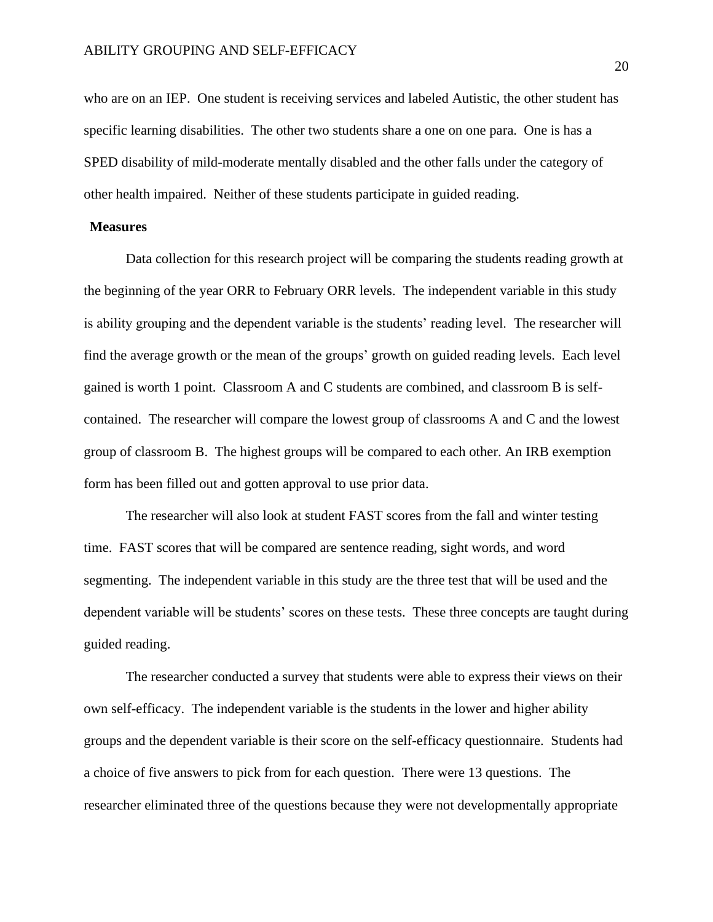who are on an IEP. One student is receiving services and labeled Autistic, the other student has specific learning disabilities. The other two students share a one on one para. One is has a SPED disability of mild-moderate mentally disabled and the other falls under the category of other health impaired. Neither of these students participate in guided reading.

# **Measures**

Data collection for this research project will be comparing the students reading growth at the beginning of the year ORR to February ORR levels. The independent variable in this study is ability grouping and the dependent variable is the students' reading level. The researcher will find the average growth or the mean of the groups' growth on guided reading levels. Each level gained is worth 1 point. Classroom A and C students are combined, and classroom B is selfcontained. The researcher will compare the lowest group of classrooms A and C and the lowest group of classroom B. The highest groups will be compared to each other. An IRB exemption form has been filled out and gotten approval to use prior data.

The researcher will also look at student FAST scores from the fall and winter testing time. FAST scores that will be compared are sentence reading, sight words, and word segmenting. The independent variable in this study are the three test that will be used and the dependent variable will be students' scores on these tests. These three concepts are taught during guided reading.

The researcher conducted a survey that students were able to express their views on their own self-efficacy. The independent variable is the students in the lower and higher ability groups and the dependent variable is their score on the self-efficacy questionnaire. Students had a choice of five answers to pick from for each question. There were 13 questions. The researcher eliminated three of the questions because they were not developmentally appropriate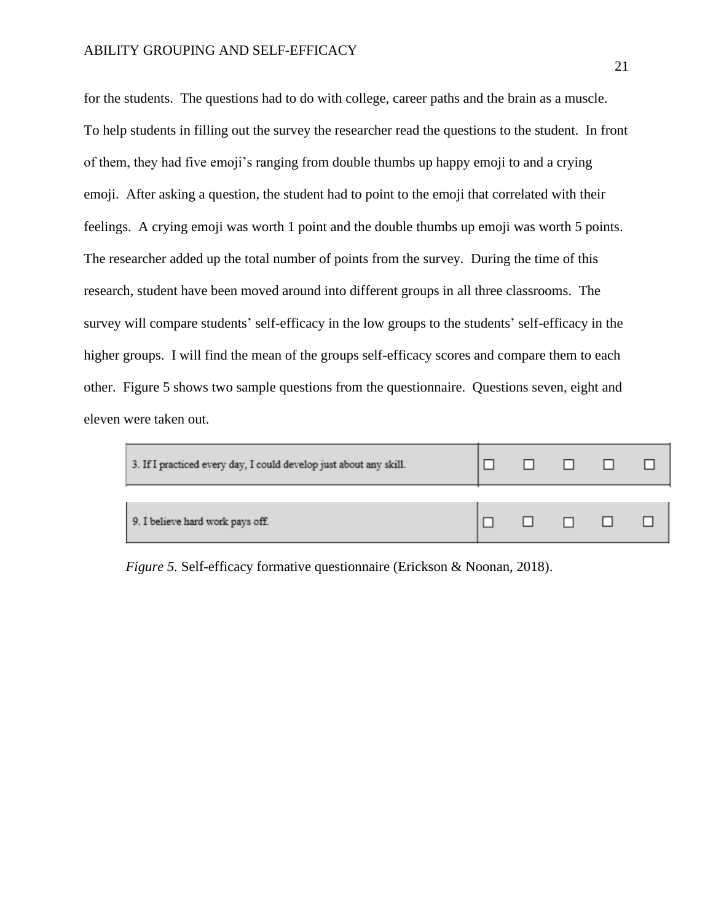for the students. The questions had to do with college, career paths and the brain as a muscle. To help students in filling out the survey the researcher read the questions to the student. In front of them, they had five emoji's ranging from double thumbs up happy emoji to and a crying emoji. After asking a question, the student had to point to the emoji that correlated with their feelings. A crying emoji was worth 1 point and the double thumbs up emoji was worth 5 points. The researcher added up the total number of points from the survey. During the time of this research, student have been moved around into different groups in all three classrooms. The survey will compare students' self-efficacy in the low groups to the students' self-efficacy in the higher groups. I will find the mean of the groups self-efficacy scores and compare them to each other. Figure 5 shows two sample questions from the questionnaire. Questions seven, eight and eleven were taken out.

| 3. If I practiced every day, I could develop just about any skill. |  |                    |  |
|--------------------------------------------------------------------|--|--------------------|--|
| 9. I believe hard work pays off.                                   |  | <i><b>DDDD</b></i> |  |

*Figure 5.* Self-efficacy formative questionnaire (Erickson & Noonan, 2018).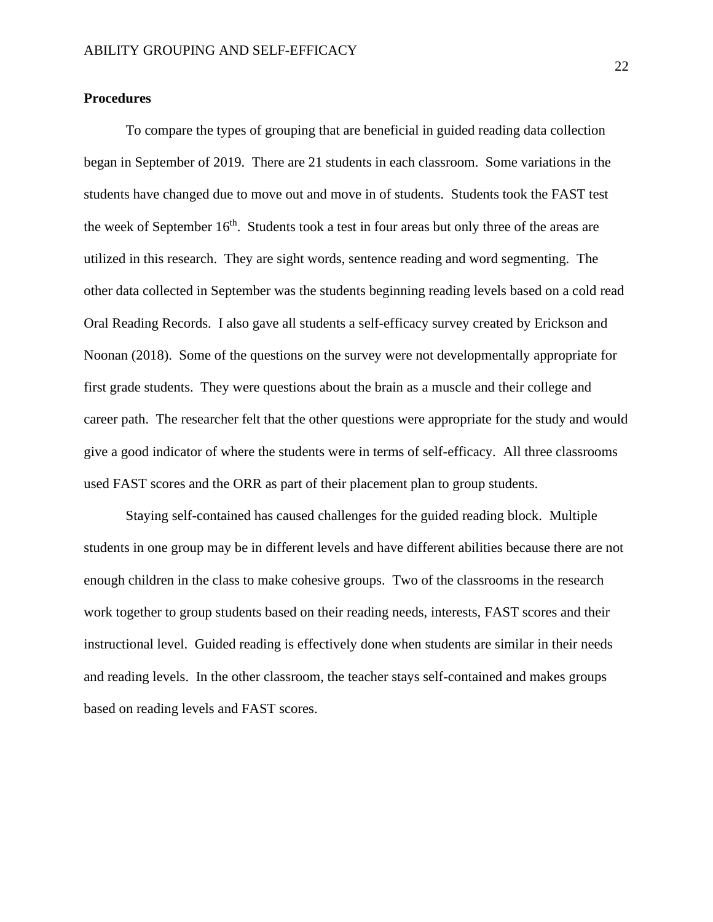### **Procedures**

To compare the types of grouping that are beneficial in guided reading data collection began in September of 2019. There are 21 students in each classroom. Some variations in the students have changed due to move out and move in of students. Students took the FAST test the week of September  $16<sup>th</sup>$ . Students took a test in four areas but only three of the areas are utilized in this research. They are sight words, sentence reading and word segmenting. The other data collected in September was the students beginning reading levels based on a cold read Oral Reading Records. I also gave all students a self-efficacy survey created by Erickson and Noonan (2018). Some of the questions on the survey were not developmentally appropriate for first grade students. They were questions about the brain as a muscle and their college and career path. The researcher felt that the other questions were appropriate for the study and would give a good indicator of where the students were in terms of self-efficacy. All three classrooms used FAST scores and the ORR as part of their placement plan to group students.

Staying self-contained has caused challenges for the guided reading block. Multiple students in one group may be in different levels and have different abilities because there are not enough children in the class to make cohesive groups. Two of the classrooms in the research work together to group students based on their reading needs, interests, FAST scores and their instructional level. Guided reading is effectively done when students are similar in their needs and reading levels. In the other classroom, the teacher stays self-contained and makes groups based on reading levels and FAST scores.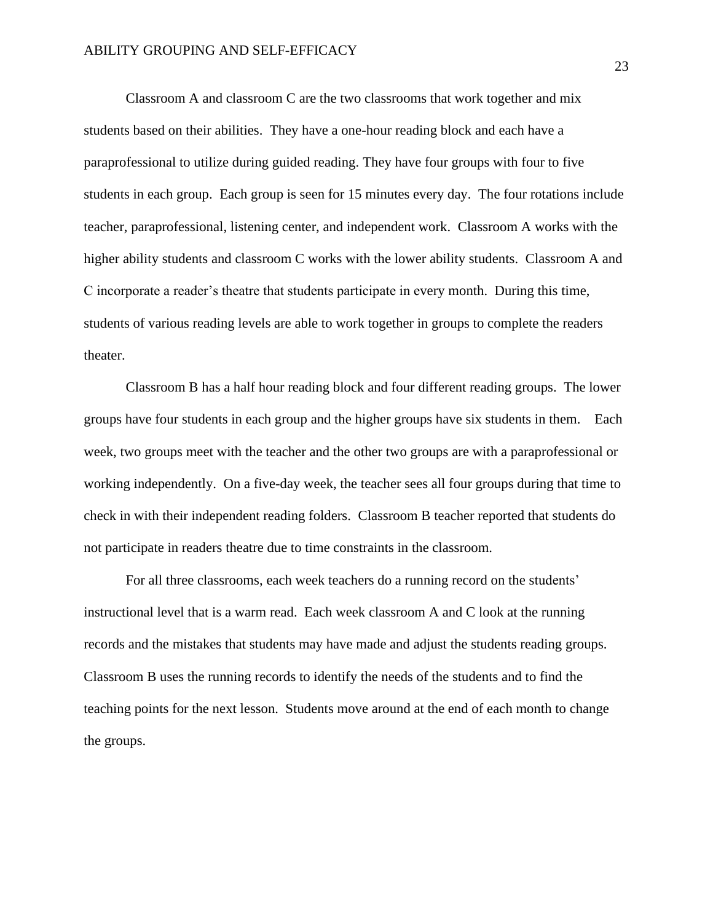Classroom A and classroom C are the two classrooms that work together and mix students based on their abilities. They have a one-hour reading block and each have a paraprofessional to utilize during guided reading. They have four groups with four to five students in each group. Each group is seen for 15 minutes every day. The four rotations include teacher, paraprofessional, listening center, and independent work. Classroom A works with the higher ability students and classroom C works with the lower ability students. Classroom A and C incorporate a reader's theatre that students participate in every month. During this time, students of various reading levels are able to work together in groups to complete the readers theater.

Classroom B has a half hour reading block and four different reading groups. The lower groups have four students in each group and the higher groups have six students in them. Each week, two groups meet with the teacher and the other two groups are with a paraprofessional or working independently. On a five-day week, the teacher sees all four groups during that time to check in with their independent reading folders. Classroom B teacher reported that students do not participate in readers theatre due to time constraints in the classroom.

For all three classrooms, each week teachers do a running record on the students' instructional level that is a warm read. Each week classroom A and C look at the running records and the mistakes that students may have made and adjust the students reading groups. Classroom B uses the running records to identify the needs of the students and to find the teaching points for the next lesson. Students move around at the end of each month to change the groups.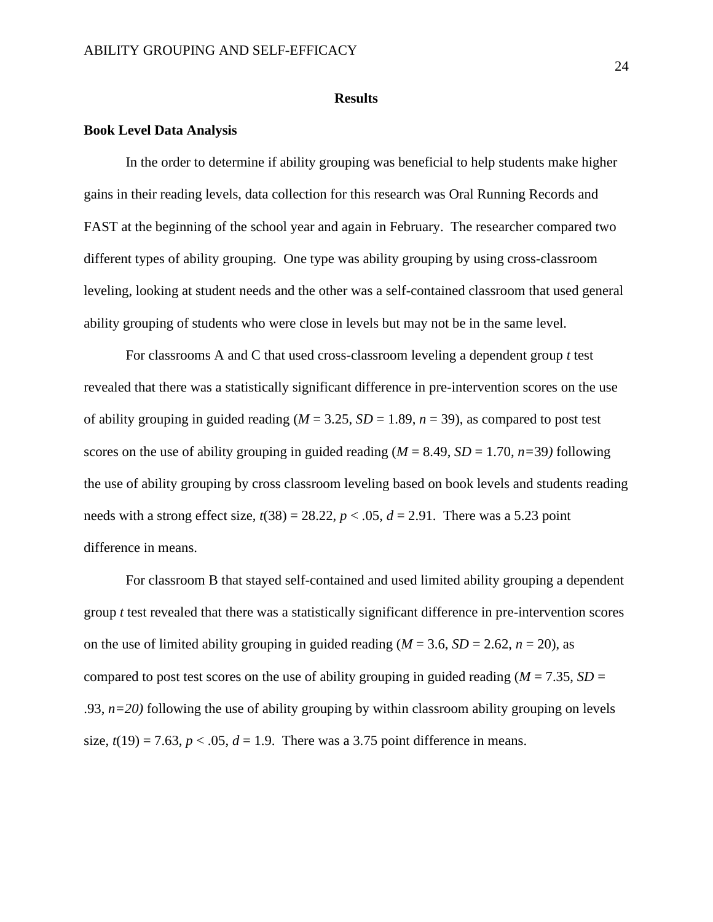#### **Results**

#### **Book Level Data Analysis**

In the order to determine if ability grouping was beneficial to help students make higher gains in their reading levels, data collection for this research was Oral Running Records and FAST at the beginning of the school year and again in February. The researcher compared two different types of ability grouping. One type was ability grouping by using cross-classroom leveling, looking at student needs and the other was a self-contained classroom that used general ability grouping of students who were close in levels but may not be in the same level.

For classrooms A and C that used cross-classroom leveling a dependent group *t* test revealed that there was a statistically significant difference in pre-intervention scores on the use of ability grouping in guided reading  $(M = 3.25, SD = 1.89, n = 39)$ , as compared to post test scores on the use of ability grouping in guided reading  $(M = 8.49, SD = 1.70, n = 39)$  following the use of ability grouping by cross classroom leveling based on book levels and students reading needs with a strong effect size,  $t(38) = 28.22$ ,  $p < .05$ ,  $d = 2.91$ . There was a 5.23 point difference in means.

For classroom B that stayed self-contained and used limited ability grouping a dependent group *t* test revealed that there was a statistically significant difference in pre-intervention scores on the use of limited ability grouping in guided reading  $(M = 3.6, SD = 2.62, n = 20)$ , as compared to post test scores on the use of ability grouping in guided reading ( $M = 7.35$ ,  $SD =$ .93, *n=20)* following the use of ability grouping by within classroom ability grouping on levels size,  $t(19) = 7.63$ ,  $p < .05$ ,  $d = 1.9$ . There was a 3.75 point difference in means.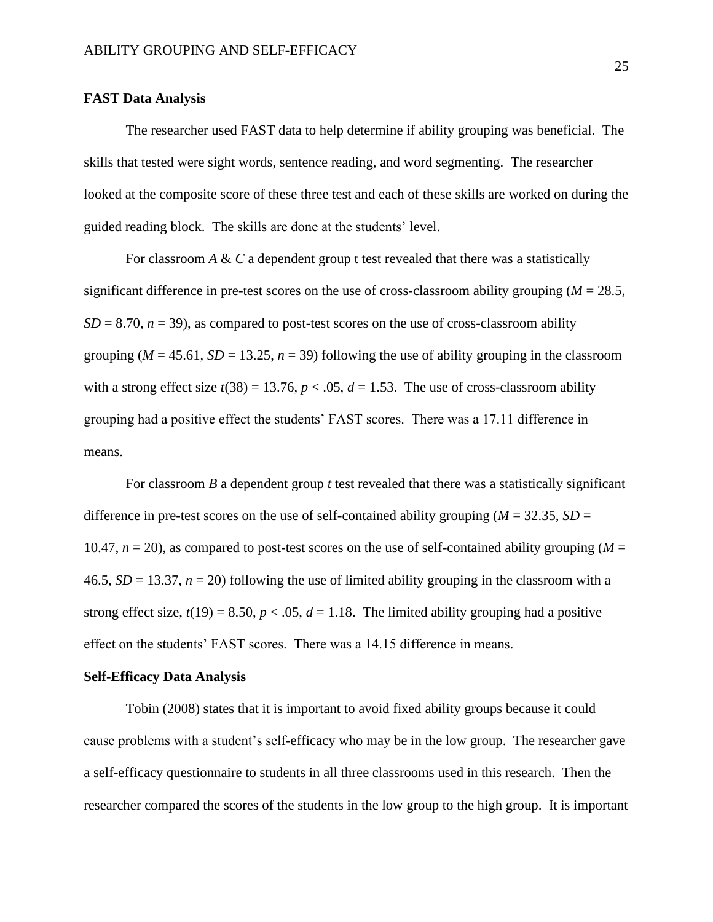#### **FAST Data Analysis**

The researcher used FAST data to help determine if ability grouping was beneficial. The skills that tested were sight words, sentence reading, and word segmenting. The researcher looked at the composite score of these three test and each of these skills are worked on during the guided reading block. The skills are done at the students' level.

For classroom *A* & *C* a dependent group t test revealed that there was a statistically significant difference in pre-test scores on the use of cross-classroom ability grouping (*M* = 28.5,  $SD = 8.70$ ,  $n = 39$ ), as compared to post-test scores on the use of cross-classroom ability grouping  $(M = 45.61, SD = 13.25, n = 39)$  following the use of ability grouping in the classroom with a strong effect size  $t(38) = 13.76$ ,  $p < .05$ ,  $d = 1.53$ . The use of cross-classroom ability grouping had a positive effect the students' FAST scores. There was a 17.11 difference in means.

For classroom *B* a dependent group *t* test revealed that there was a statistically significant difference in pre-test scores on the use of self-contained ability grouping  $(M = 32.35, SD =$ 10.47,  $n = 20$ ), as compared to post-test scores on the use of self-contained ability grouping ( $M =$ 46.5, *SD* = 13.37, *n* = 20) following the use of limited ability grouping in the classroom with a strong effect size,  $t(19) = 8.50$ ,  $p < .05$ ,  $d = 1.18$ . The limited ability grouping had a positive effect on the students' FAST scores. There was a 14.15 difference in means.

#### **Self-Efficacy Data Analysis**

Tobin (2008) states that it is important to avoid fixed ability groups because it could cause problems with a student's self-efficacy who may be in the low group. The researcher gave a self-efficacy questionnaire to students in all three classrooms used in this research. Then the researcher compared the scores of the students in the low group to the high group. It is important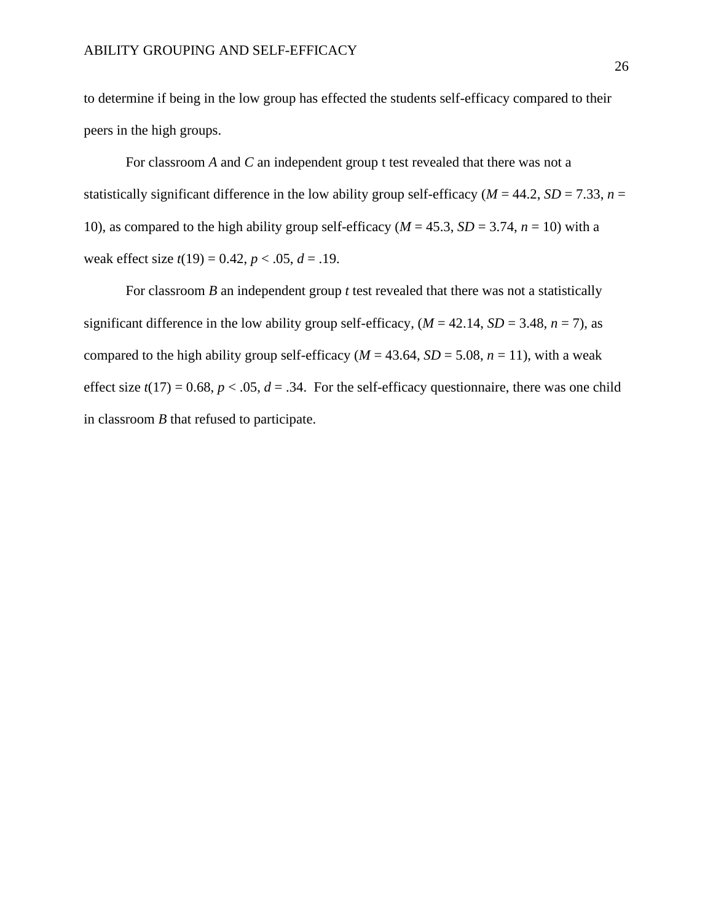to determine if being in the low group has effected the students self-efficacy compared to their peers in the high groups.

For classroom *A* and *C* an independent group t test revealed that there was not a statistically significant difference in the low ability group self-efficacy ( $M = 44.2$ ,  $SD = 7.33$ ,  $n =$ 10), as compared to the high ability group self-efficacy ( $M = 45.3$ ,  $SD = 3.74$ ,  $n = 10$ ) with a weak effect size  $t(19) = 0.42$ ,  $p < .05$ ,  $d = .19$ .

For classroom *B* an independent group *t* test revealed that there was not a statistically significant difference in the low ability group self-efficacy,  $(M = 42.14, SD = 3.48, n = 7)$ , as compared to the high ability group self-efficacy ( $M = 43.64$ ,  $SD = 5.08$ ,  $n = 11$ ), with a weak effect size  $t(17) = 0.68$ ,  $p < .05$ ,  $d = .34$ . For the self-efficacy questionnaire, there was one child in classroom *B* that refused to participate.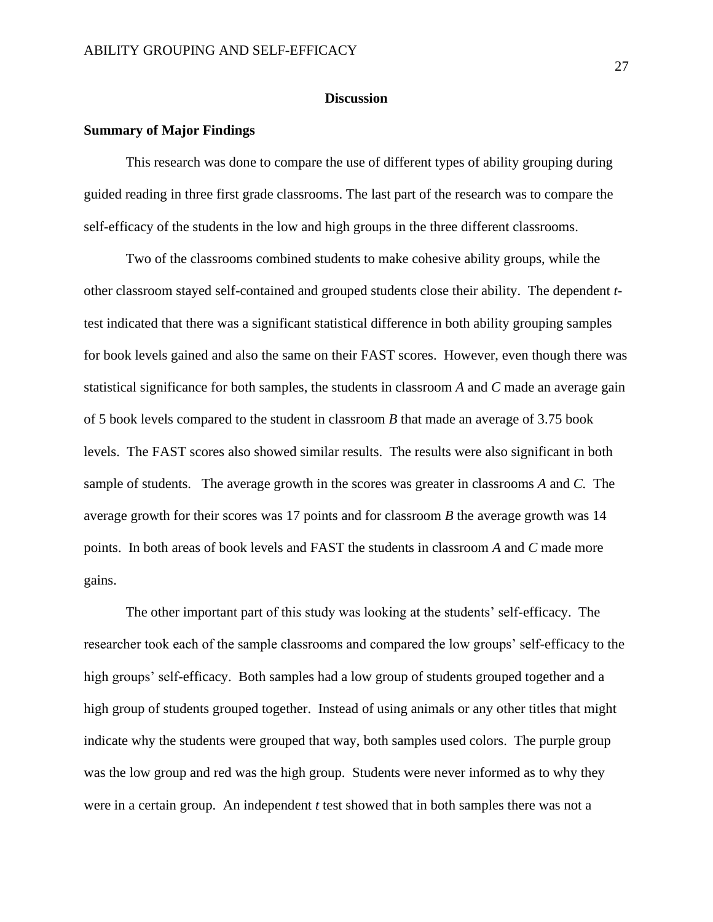#### **Discussion**

## **Summary of Major Findings**

This research was done to compare the use of different types of ability grouping during guided reading in three first grade classrooms. The last part of the research was to compare the self-efficacy of the students in the low and high groups in the three different classrooms.

Two of the classrooms combined students to make cohesive ability groups, while the other classroom stayed self-contained and grouped students close their ability. The dependent *t*test indicated that there was a significant statistical difference in both ability grouping samples for book levels gained and also the same on their FAST scores. However, even though there was statistical significance for both samples, the students in classroom *A* and *C* made an average gain of 5 book levels compared to the student in classroom *B* that made an average of 3.75 book levels. The FAST scores also showed similar results. The results were also significant in both sample of students. The average growth in the scores was greater in classrooms *A* and *C.* The average growth for their scores was 17 points and for classroom *B* the average growth was 14 points. In both areas of book levels and FAST the students in classroom *A* and *C* made more gains.

The other important part of this study was looking at the students' self-efficacy. The researcher took each of the sample classrooms and compared the low groups' self-efficacy to the high groups' self-efficacy. Both samples had a low group of students grouped together and a high group of students grouped together. Instead of using animals or any other titles that might indicate why the students were grouped that way, both samples used colors. The purple group was the low group and red was the high group. Students were never informed as to why they were in a certain group. An independent *t* test showed that in both samples there was not a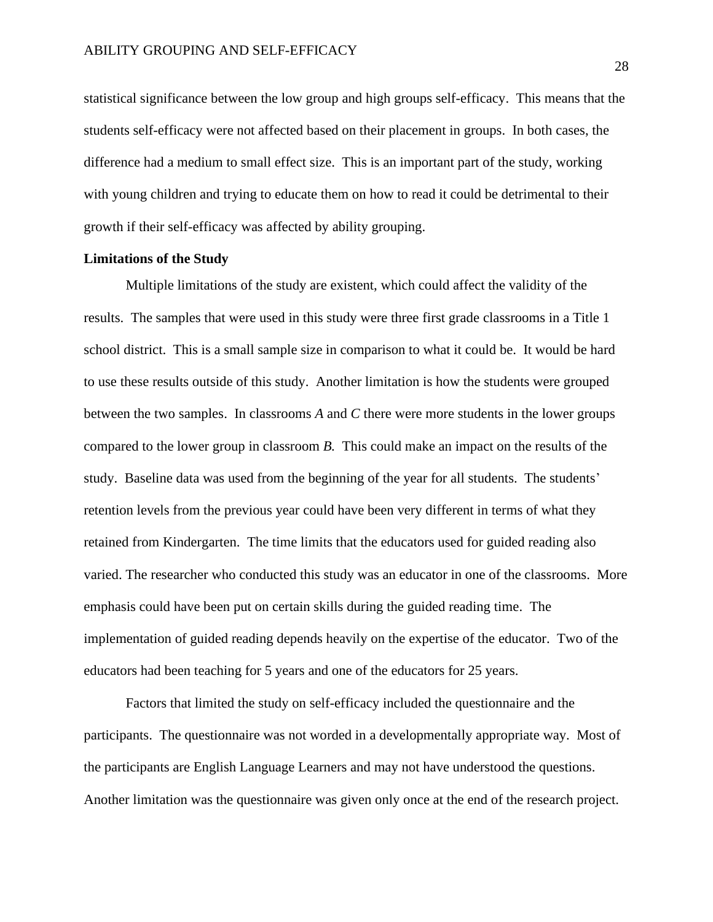statistical significance between the low group and high groups self-efficacy. This means that the students self-efficacy were not affected based on their placement in groups. In both cases, the difference had a medium to small effect size. This is an important part of the study, working with young children and trying to educate them on how to read it could be detrimental to their growth if their self-efficacy was affected by ability grouping.

# **Limitations of the Study**

Multiple limitations of the study are existent, which could affect the validity of the results. The samples that were used in this study were three first grade classrooms in a Title 1 school district. This is a small sample size in comparison to what it could be. It would be hard to use these results outside of this study. Another limitation is how the students were grouped between the two samples. In classrooms *A* and *C* there were more students in the lower groups compared to the lower group in classroom *B.* This could make an impact on the results of the study. Baseline data was used from the beginning of the year for all students. The students' retention levels from the previous year could have been very different in terms of what they retained from Kindergarten. The time limits that the educators used for guided reading also varied. The researcher who conducted this study was an educator in one of the classrooms. More emphasis could have been put on certain skills during the guided reading time. The implementation of guided reading depends heavily on the expertise of the educator. Two of the educators had been teaching for 5 years and one of the educators for 25 years.

Factors that limited the study on self-efficacy included the questionnaire and the participants. The questionnaire was not worded in a developmentally appropriate way. Most of the participants are English Language Learners and may not have understood the questions. Another limitation was the questionnaire was given only once at the end of the research project.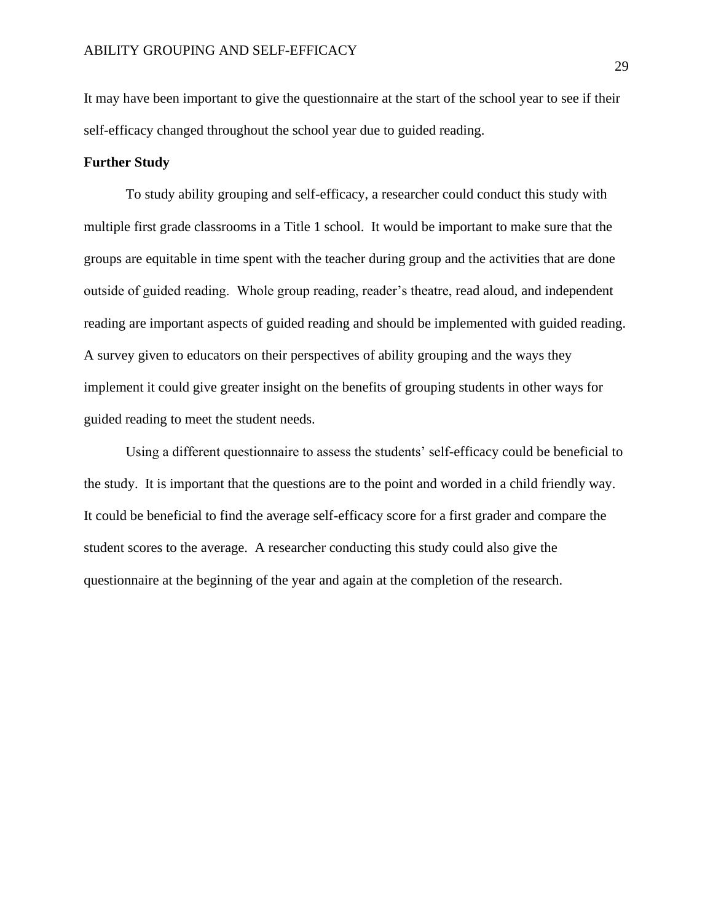It may have been important to give the questionnaire at the start of the school year to see if their self-efficacy changed throughout the school year due to guided reading.

# **Further Study**

To study ability grouping and self-efficacy, a researcher could conduct this study with multiple first grade classrooms in a Title 1 school. It would be important to make sure that the groups are equitable in time spent with the teacher during group and the activities that are done outside of guided reading. Whole group reading, reader's theatre, read aloud, and independent reading are important aspects of guided reading and should be implemented with guided reading. A survey given to educators on their perspectives of ability grouping and the ways they implement it could give greater insight on the benefits of grouping students in other ways for guided reading to meet the student needs.

Using a different questionnaire to assess the students' self-efficacy could be beneficial to the study. It is important that the questions are to the point and worded in a child friendly way. It could be beneficial to find the average self-efficacy score for a first grader and compare the student scores to the average. A researcher conducting this study could also give the questionnaire at the beginning of the year and again at the completion of the research.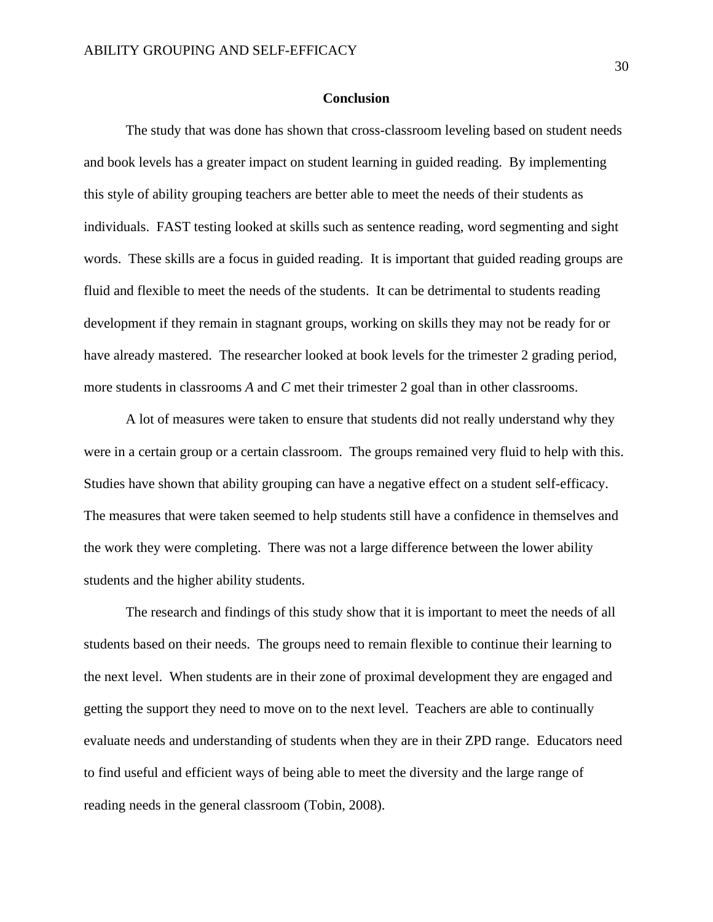#### **Conclusion**

The study that was done has shown that cross-classroom leveling based on student needs and book levels has a greater impact on student learning in guided reading. By implementing this style of ability grouping teachers are better able to meet the needs of their students as individuals. FAST testing looked at skills such as sentence reading, word segmenting and sight words. These skills are a focus in guided reading. It is important that guided reading groups are fluid and flexible to meet the needs of the students. It can be detrimental to students reading development if they remain in stagnant groups, working on skills they may not be ready for or have already mastered. The researcher looked at book levels for the trimester 2 grading period, more students in classrooms *A* and *C* met their trimester 2 goal than in other classrooms.

A lot of measures were taken to ensure that students did not really understand why they were in a certain group or a certain classroom. The groups remained very fluid to help with this. Studies have shown that ability grouping can have a negative effect on a student self-efficacy. The measures that were taken seemed to help students still have a confidence in themselves and the work they were completing. There was not a large difference between the lower ability students and the higher ability students.

The research and findings of this study show that it is important to meet the needs of all students based on their needs. The groups need to remain flexible to continue their learning to the next level. When students are in their zone of proximal development they are engaged and getting the support they need to move on to the next level. Teachers are able to continually evaluate needs and understanding of students when they are in their ZPD range. Educators need to find useful and efficient ways of being able to meet the diversity and the large range of reading needs in the general classroom (Tobin, 2008).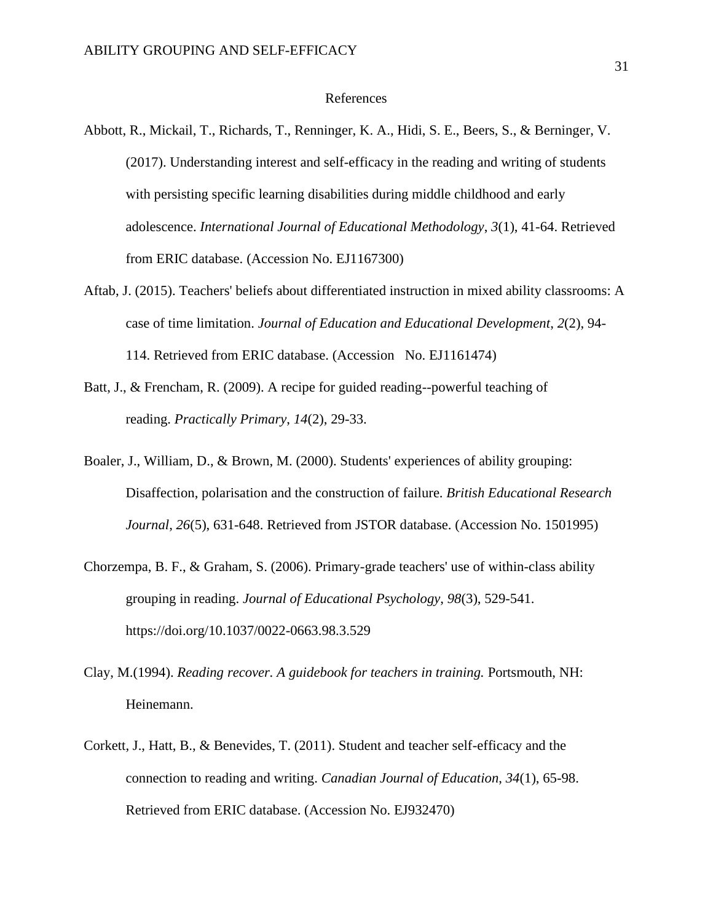#### References

- Abbott, R., Mickail, T., Richards, T., Renninger, K. A., Hidi, S. E., Beers, S., & Berninger, V. (2017). Understanding interest and self-efficacy in the reading and writing of students with persisting specific learning disabilities during middle childhood and early adolescence. *International Journal of Educational Methodology*, *3*(1), 41-64. Retrieved from ERIC database. (Accession No. EJ1167300)
- Aftab, J. (2015). Teachers' beliefs about differentiated instruction in mixed ability classrooms: A case of time limitation. *Journal of Education and Educational Development*, *2*(2), 94- 114. Retrieved from ERIC database. (Accession No. EJ1161474)
- Batt, J., & Frencham, R. (2009). A recipe for guided reading--powerful teaching of reading. *Practically Primary*, *14*(2), 29-33.
- Boaler, J., William, D., & Brown, M. (2000). Students' experiences of ability grouping: Disaffection, polarisation and the construction of failure. *British Educational Research Journal*, *26*(5), 631-648. Retrieved from JSTOR database. (Accession No. 1501995)
- Chorzempa, B. F., & Graham, S. (2006). Primary-grade teachers' use of within-class ability grouping in reading. *Journal of Educational Psychology*, *98*(3), 529-541. https://doi.org/10.1037/0022-0663.98.3.529
- Clay, M.(1994). *Reading recover. A guidebook for teachers in training.* Portsmouth, NH: Heinemann.
- Corkett, J., Hatt, B., & Benevides, T. (2011). Student and teacher self-efficacy and the connection to reading and writing. *Canadian Journal of Education*, *34*(1), 65-98. Retrieved from ERIC database. (Accession No. EJ932470)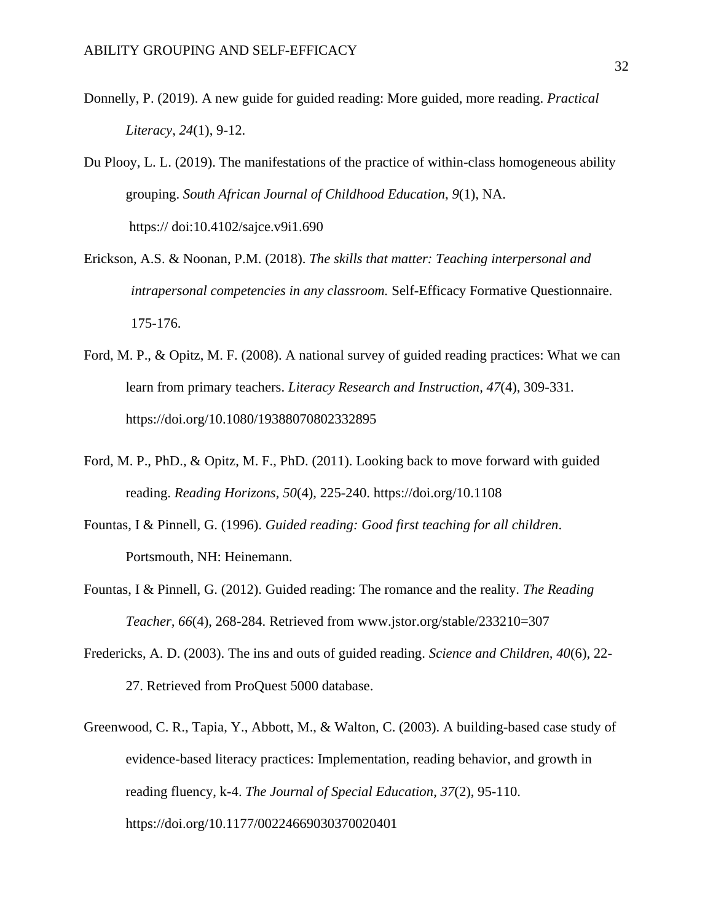- Donnelly, P. (2019). A new guide for guided reading: More guided, more reading. *Practical Literacy*, *24*(1), 9-12.
- Du Plooy, L. L. (2019). The manifestations of the practice of within-class homogeneous ability grouping. *South African Journal of Childhood Education*, *9*(1), NA. https:// doi:10.4102/sajce.v9i1.690
- Erickson, A.S. & Noonan, P.M. (2018). *The skills that matter: Teaching interpersonal and intrapersonal competencies in any classroom.* Self-Efficacy Formative Questionnaire. 175-176.
- Ford, M. P., & Opitz, M. F. (2008). A national survey of guided reading practices: What we can learn from primary teachers. *Literacy Research and Instruction, 47*(4), 309-331. https://doi.org/10.1080/19388070802332895
- Ford, M. P., PhD., & Opitz, M. F., PhD. (2011). Looking back to move forward with guided reading. *Reading Horizons, 50*(4), 225-240. https://doi.org/10.1108
- Fountas, I & Pinnell, G. (1996). *Guided reading: Good first teaching for all children*. Portsmouth, NH: Heinemann.
- Fountas, I & Pinnell, G. (2012). Guided reading: The romance and the reality. *The Reading Teacher, 66*(4), 268-284. Retrieved from www.jstor.org/stable/233210=307
- Fredericks, A. D. (2003). The ins and outs of guided reading. *Science and Children, 40*(6), 22- 27. Retrieved from ProQuest 5000 database.
- Greenwood, C. R., Tapia, Y., Abbott, M., & Walton, C. (2003). A building-based case study of evidence-based literacy practices: Implementation, reading behavior, and growth in reading fluency, k-4. *The Journal of Special Education*, *37*(2), 95-110. https://doi.org/10.1177/00224669030370020401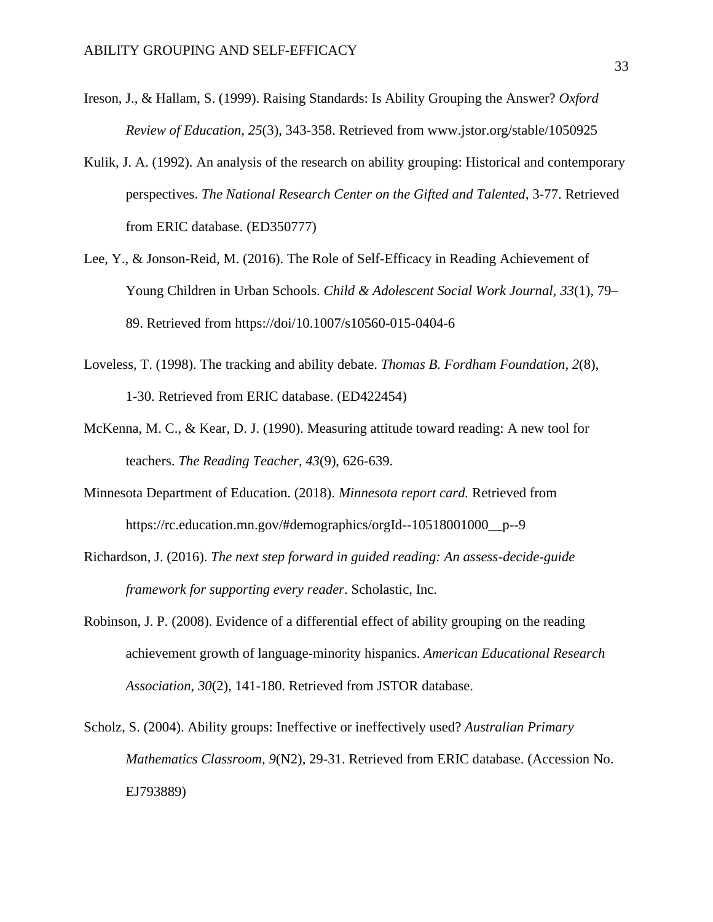- Ireson, J., & Hallam, S. (1999). Raising Standards: Is Ability Grouping the Answer? *Oxford Review of Education, 25*(3), 343-358. Retrieved from www.jstor.org/stable/1050925
- Kulik, J. A. (1992). An analysis of the research on ability grouping: Historical and contemporary perspectives. *The National Research Center on the Gifted and Talented*, 3-77. Retrieved from ERIC database. (ED350777)
- Lee, Y., & Jonson-Reid, M. (2016). The Role of Self-Efficacy in Reading Achievement of Young Children in Urban Schools. *Child & Adolescent Social Work Journal, 33*(1), 79– 89. Retrieved from https://doi/10.1007/s10560-015-0404-6
- Loveless, T. (1998). The tracking and ability debate. *Thomas B. Fordham Foundation*, *2*(8), 1-30. Retrieved from ERIC database. (ED422454)
- McKenna, M. C., & Kear, D. J. (1990). Measuring attitude toward reading: A new tool for teachers. *The Reading Teacher*, *43*(9), 626-639.
- Minnesota Department of Education. (2018). *Minnesota report card.* Retrieved from https://rc.education.mn.gov/#demographics/orgId--10518001000\_\_p--9
- Richardson, J. (2016). *The next step forward in guided reading: An assess-decide-guide framework for supporting every reader*. Scholastic, Inc.
- Robinson, J. P. (2008). Evidence of a differential effect of ability grouping on the reading achievement growth of language-minority hispanics. *American Educational Research Association*, *30*(2), 141-180. Retrieved from JSTOR database.
- Scholz, S. (2004). Ability groups: Ineffective or ineffectively used? *Australian Primary Mathematics Classroom*, *9*(N2), 29-31. Retrieved from ERIC database. (Accession No. EJ793889)